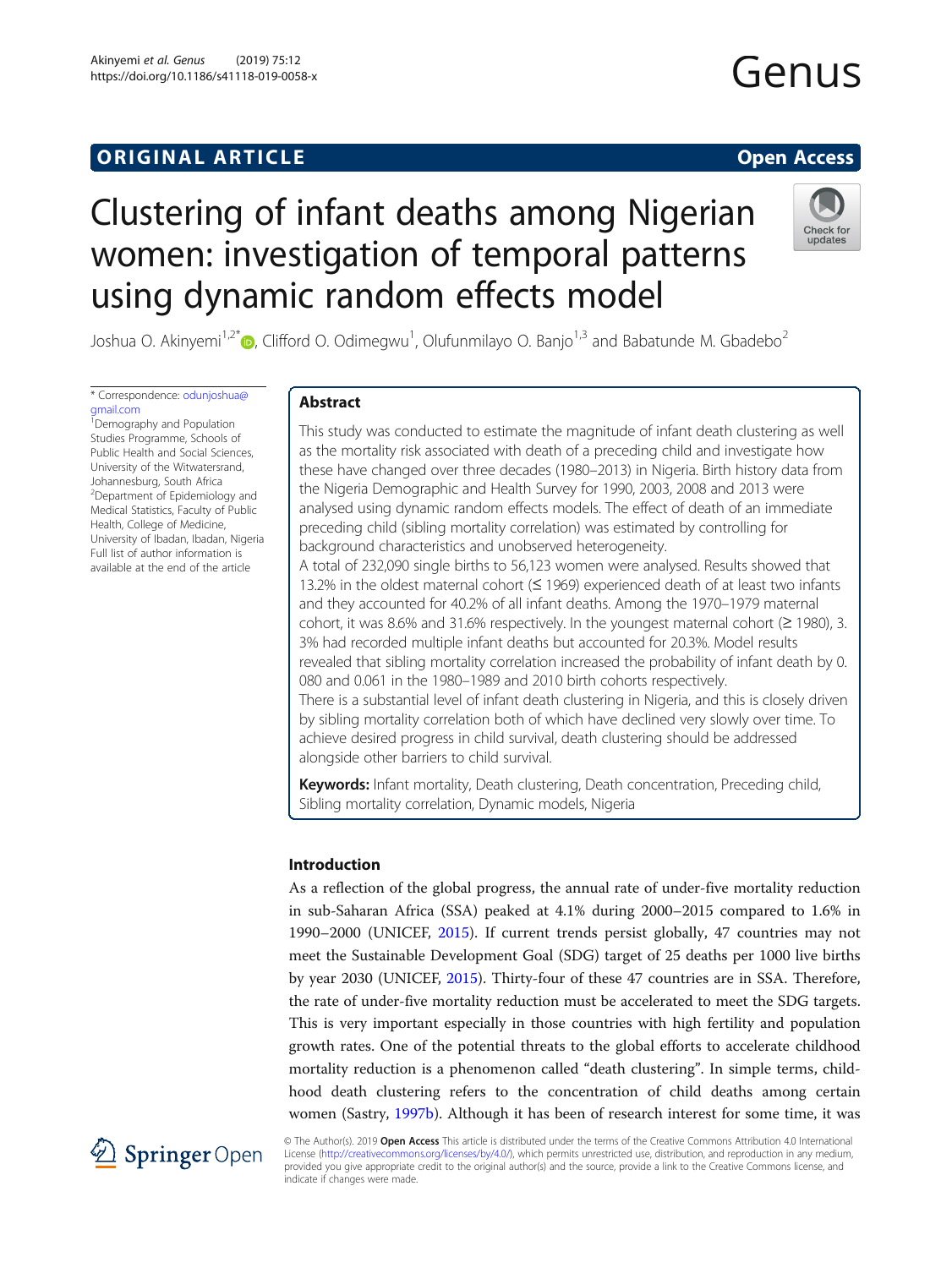# **ORIGINAL ARTICLE CONSERVANCE IN A LOCAL CONSERVANCE IN A LOCAL CONSERVANCE IN A LOCAL CONSERVANCE IN A LOCAL CONSERVANCE IN A LOCAL CONSERVANCE IN A LOCAL CONSERVANCE IN A LOCAL CONSERVANCE IN A LOCAL CONSERVANCE IN A L**

# Clustering of infant deaths among Nigerian women: investigation of temporal patterns using dynamic random effects model



Joshua O. Akinyemi<sup>1,2\*</sup>®, Clifford O. Odimegwu<sup>1</sup>, Olufunmilayo O. Banjo<sup>1,3</sup> and Babatunde M. Gbadebo<sup>2</sup>

\* Correspondence: [odunjoshua@](mailto:odunjoshua@gmail.com) [gmail.com](mailto:odunjoshua@gmail.com)

1 Demography and Population Studies Programme, Schools of Public Health and Social Sciences, University of the Witwatersrand, Johannesburg, South Africa <sup>2</sup>Department of Epidemiology and Medical Statistics, Faculty of Public Health, College of Medicine, University of Ibadan, Ibadan, Nigeria Full list of author information is available at the end of the article

# Abstract

This study was conducted to estimate the magnitude of infant death clustering as well as the mortality risk associated with death of a preceding child and investigate how these have changed over three decades (1980–2013) in Nigeria. Birth history data from the Nigeria Demographic and Health Survey for 1990, 2003, 2008 and 2013 were analysed using dynamic random effects models. The effect of death of an immediate preceding child (sibling mortality correlation) was estimated by controlling for background characteristics and unobserved heterogeneity.

A total of 232,090 single births to 56,123 women were analysed. Results showed that 13.2% in the oldest maternal cohort (≤ 1969) experienced death of at least two infants and they accounted for 40.2% of all infant deaths. Among the 1970–1979 maternal cohort, it was 8.6% and 31.6% respectively. In the youngest maternal cohort ( $\geq$  1980), 3. 3% had recorded multiple infant deaths but accounted for 20.3%. Model results revealed that sibling mortality correlation increased the probability of infant death by 0. 080 and 0.061 in the 1980–1989 and 2010 birth cohorts respectively. There is a substantial level of infant death clustering in Nigeria, and this is closely driven by sibling mortality correlation both of which have declined very slowly over time. To achieve desired progress in child survival, death clustering should be addressed alongside other barriers to child survival.

Keywords: Infant mortality, Death clustering, Death concentration, Preceding child, Sibling mortality correlation, Dynamic models, Nigeria

# Introduction

As a reflection of the global progress, the annual rate of under-five mortality reduction in sub-Saharan Africa (SSA) peaked at 4.1% during 2000–2015 compared to 1.6% in 1990–2000 (UNICEF, [2015\)](#page-17-0). If current trends persist globally, 47 countries may not meet the Sustainable Development Goal (SDG) target of 25 deaths per 1000 live births by year 2030 (UNICEF, [2015](#page-17-0)). Thirty-four of these 47 countries are in SSA. Therefore, the rate of under-five mortality reduction must be accelerated to meet the SDG targets. This is very important especially in those countries with high fertility and population growth rates. One of the potential threats to the global efforts to accelerate childhood mortality reduction is a phenomenon called "death clustering". In simple terms, childhood death clustering refers to the concentration of child deaths among certain women (Sastry, [1997b\)](#page-16-0). Although it has been of research interest for some time, it was



© The Author(s). 2019 Open Access This article is distributed under the terms of the Creative Commons Attribution 4.0 International License [\(http://creativecommons.org/licenses/by/4.0/](http://creativecommons.org/licenses/by/4.0/)), which permits unrestricted use, distribution, and reproduction in any medium, provided you give appropriate credit to the original author(s) and the source, provide a link to the Creative Commons license, and indicate if changes were made.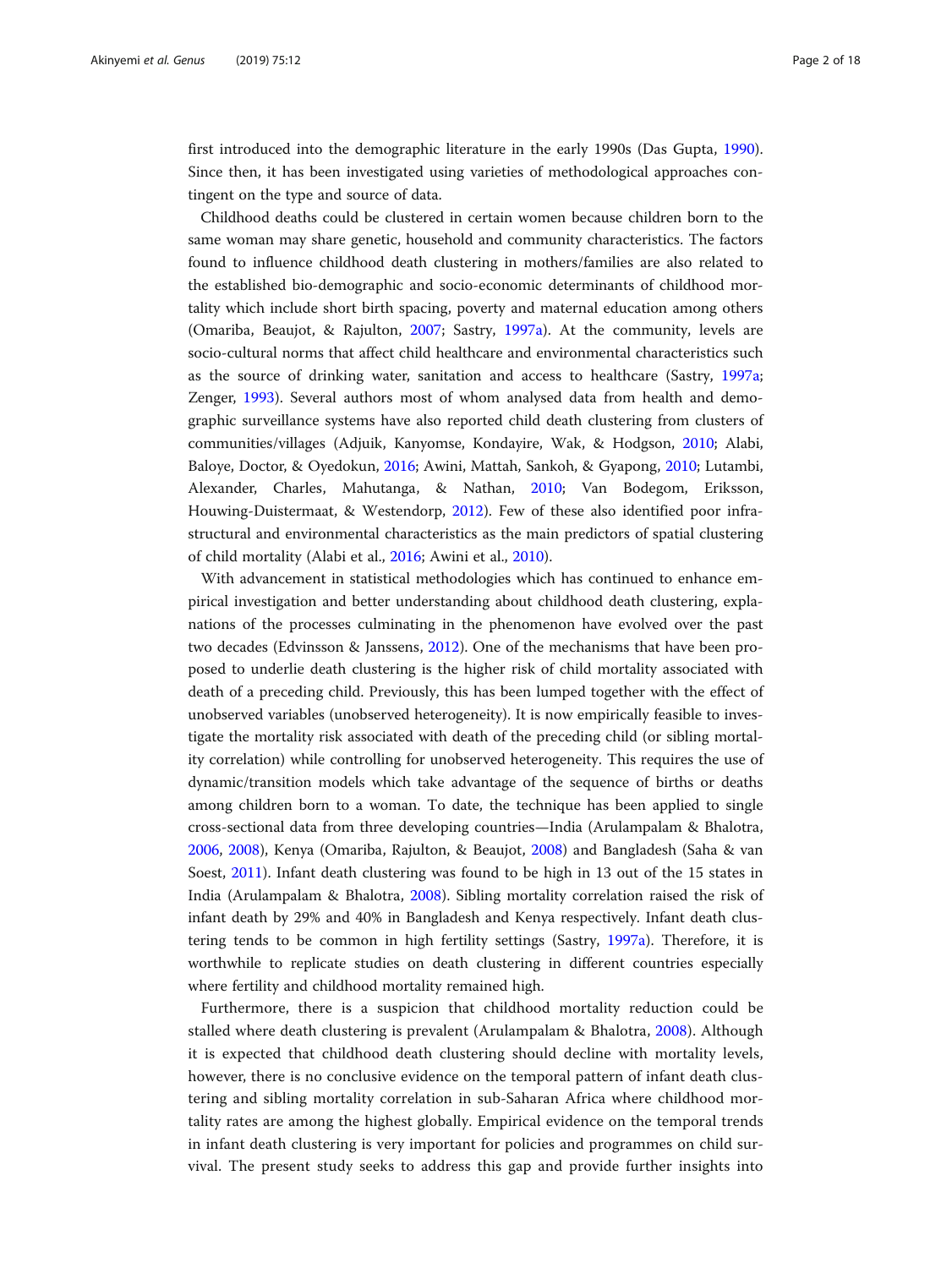first introduced into the demographic literature in the early 1990s (Das Gupta, [1990](#page-16-0)). Since then, it has been investigated using varieties of methodological approaches contingent on the type and source of data.

Childhood deaths could be clustered in certain women because children born to the same woman may share genetic, household and community characteristics. The factors found to influence childhood death clustering in mothers/families are also related to the established bio-demographic and socio-economic determinants of childhood mortality which include short birth spacing, poverty and maternal education among others (Omariba, Beaujot, & Rajulton, [2007](#page-16-0); Sastry, [1997a\)](#page-16-0). At the community, levels are socio-cultural norms that affect child healthcare and environmental characteristics such as the source of drinking water, sanitation and access to healthcare (Sastry, [1997a](#page-16-0); Zenger, [1993\)](#page-17-0). Several authors most of whom analysed data from health and demographic surveillance systems have also reported child death clustering from clusters of communities/villages (Adjuik, Kanyomse, Kondayire, Wak, & Hodgson, [2010;](#page-15-0) Alabi, Baloye, Doctor, & Oyedokun, [2016;](#page-16-0) Awini, Mattah, Sankoh, & Gyapong, [2010](#page-16-0); Lutambi, Alexander, Charles, Mahutanga, & Nathan, [2010;](#page-16-0) Van Bodegom, Eriksson, Houwing-Duistermaat, & Westendorp, [2012\)](#page-17-0). Few of these also identified poor infrastructural and environmental characteristics as the main predictors of spatial clustering of child mortality (Alabi et al., [2016;](#page-16-0) Awini et al., [2010](#page-16-0)).

With advancement in statistical methodologies which has continued to enhance empirical investigation and better understanding about childhood death clustering, explanations of the processes culminating in the phenomenon have evolved over the past two decades (Edvinsson & Janssens, [2012\)](#page-16-0). One of the mechanisms that have been proposed to underlie death clustering is the higher risk of child mortality associated with death of a preceding child. Previously, this has been lumped together with the effect of unobserved variables (unobserved heterogeneity). It is now empirically feasible to investigate the mortality risk associated with death of the preceding child (or sibling mortality correlation) while controlling for unobserved heterogeneity. This requires the use of dynamic/transition models which take advantage of the sequence of births or deaths among children born to a woman. To date, the technique has been applied to single cross-sectional data from three developing countries—India (Arulampalam & Bhalotra, [2006](#page-16-0), [2008\)](#page-16-0), Kenya (Omariba, Rajulton, & Beaujot, [2008](#page-16-0)) and Bangladesh (Saha & van Soest, [2011](#page-16-0)). Infant death clustering was found to be high in 13 out of the 15 states in India (Arulampalam & Bhalotra, [2008](#page-16-0)). Sibling mortality correlation raised the risk of infant death by 29% and 40% in Bangladesh and Kenya respectively. Infant death clustering tends to be common in high fertility settings (Sastry, [1997a](#page-16-0)). Therefore, it is worthwhile to replicate studies on death clustering in different countries especially where fertility and childhood mortality remained high.

Furthermore, there is a suspicion that childhood mortality reduction could be stalled where death clustering is prevalent (Arulampalam & Bhalotra, [2008](#page-16-0)). Although it is expected that childhood death clustering should decline with mortality levels, however, there is no conclusive evidence on the temporal pattern of infant death clustering and sibling mortality correlation in sub-Saharan Africa where childhood mortality rates are among the highest globally. Empirical evidence on the temporal trends in infant death clustering is very important for policies and programmes on child survival. The present study seeks to address this gap and provide further insights into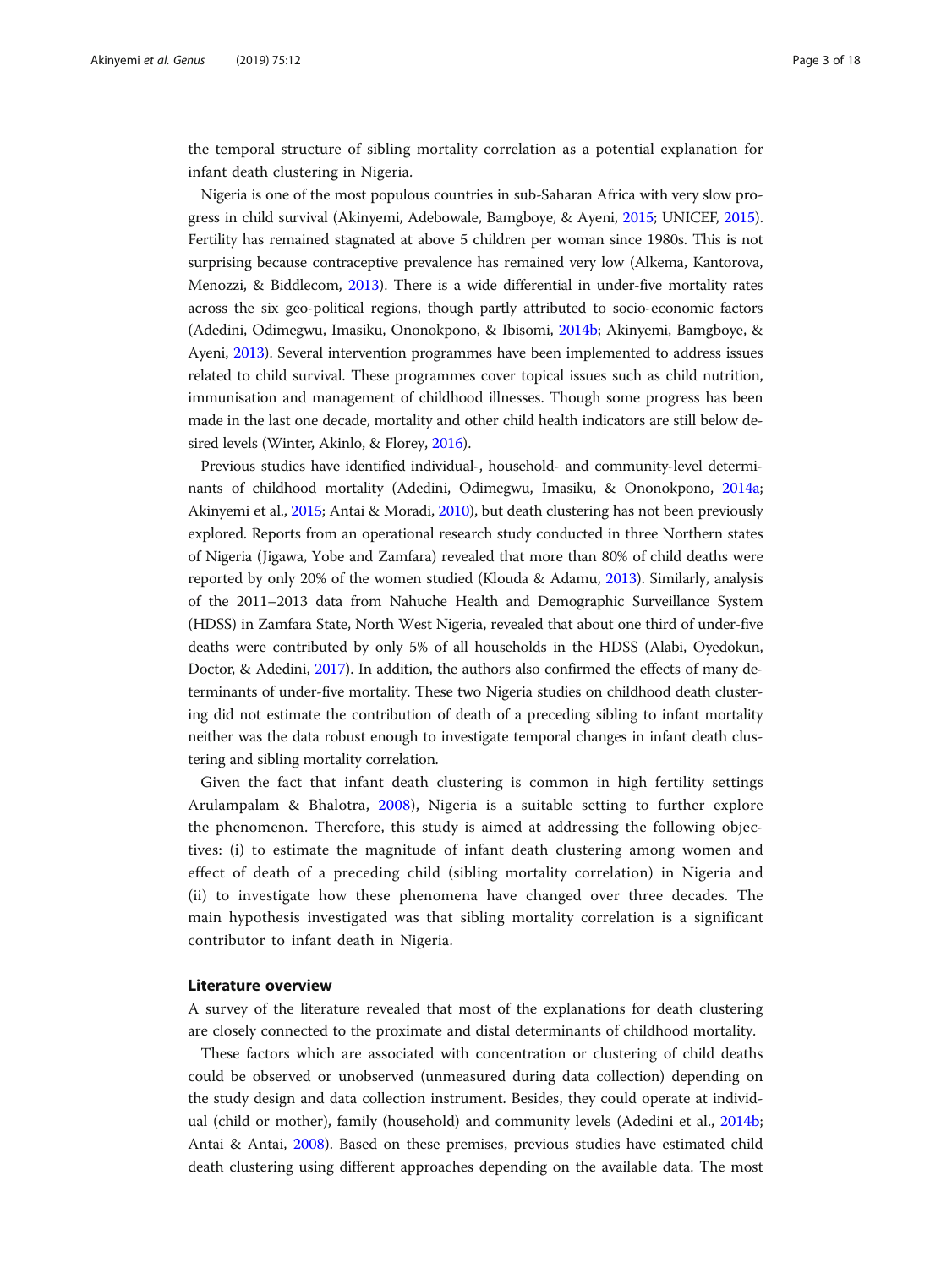the temporal structure of sibling mortality correlation as a potential explanation for infant death clustering in Nigeria.

Nigeria is one of the most populous countries in sub-Saharan Africa with very slow progress in child survival (Akinyemi, Adebowale, Bamgboye, & Ayeni, [2015](#page-15-0); UNICEF, [2015](#page-17-0)). Fertility has remained stagnated at above 5 children per woman since 1980s. This is not surprising because contraceptive prevalence has remained very low (Alkema, Kantorova, Menozzi, & Biddlecom, [2013](#page-16-0)). There is a wide differential in under-five mortality rates across the six geo-political regions, though partly attributed to socio-economic factors (Adedini, Odimegwu, Imasiku, Ononokpono, & Ibisomi, [2014b](#page-15-0); Akinyemi, Bamgboye, & Ayeni, [2013](#page-16-0)). Several intervention programmes have been implemented to address issues related to child survival. These programmes cover topical issues such as child nutrition, immunisation and management of childhood illnesses. Though some progress has been made in the last one decade, mortality and other child health indicators are still below desired levels (Winter, Akinlo, & Florey, [2016\)](#page-17-0).

Previous studies have identified individual-, household- and community-level determinants of childhood mortality (Adedini, Odimegwu, Imasiku, & Ononokpono, [2014a](#page-15-0); Akinyemi et al., [2015](#page-15-0); Antai & Moradi, [2010\)](#page-16-0), but death clustering has not been previously explored. Reports from an operational research study conducted in three Northern states of Nigeria (Jigawa, Yobe and Zamfara) revealed that more than 80% of child deaths were reported by only 20% of the women studied (Klouda & Adamu, [2013](#page-16-0)). Similarly, analysis of the 2011–2013 data from Nahuche Health and Demographic Surveillance System (HDSS) in Zamfara State, North West Nigeria, revealed that about one third of under-five deaths were contributed by only 5% of all households in the HDSS (Alabi, Oyedokun, Doctor, & Adedini, [2017](#page-16-0)). In addition, the authors also confirmed the effects of many determinants of under-five mortality. These two Nigeria studies on childhood death clustering did not estimate the contribution of death of a preceding sibling to infant mortality neither was the data robust enough to investigate temporal changes in infant death clustering and sibling mortality correlation.

Given the fact that infant death clustering is common in high fertility settings Arulampalam & Bhalotra, [2008](#page-16-0)), Nigeria is a suitable setting to further explore the phenomenon. Therefore, this study is aimed at addressing the following objectives: (i) to estimate the magnitude of infant death clustering among women and effect of death of a preceding child (sibling mortality correlation) in Nigeria and (ii) to investigate how these phenomena have changed over three decades. The main hypothesis investigated was that sibling mortality correlation is a significant contributor to infant death in Nigeria.

# Literature overview

A survey of the literature revealed that most of the explanations for death clustering are closely connected to the proximate and distal determinants of childhood mortality.

These factors which are associated with concentration or clustering of child deaths could be observed or unobserved (unmeasured during data collection) depending on the study design and data collection instrument. Besides, they could operate at individual (child or mother), family (household) and community levels (Adedini et al., [2014b](#page-15-0); Antai & Antai, [2008](#page-16-0)). Based on these premises, previous studies have estimated child death clustering using different approaches depending on the available data. The most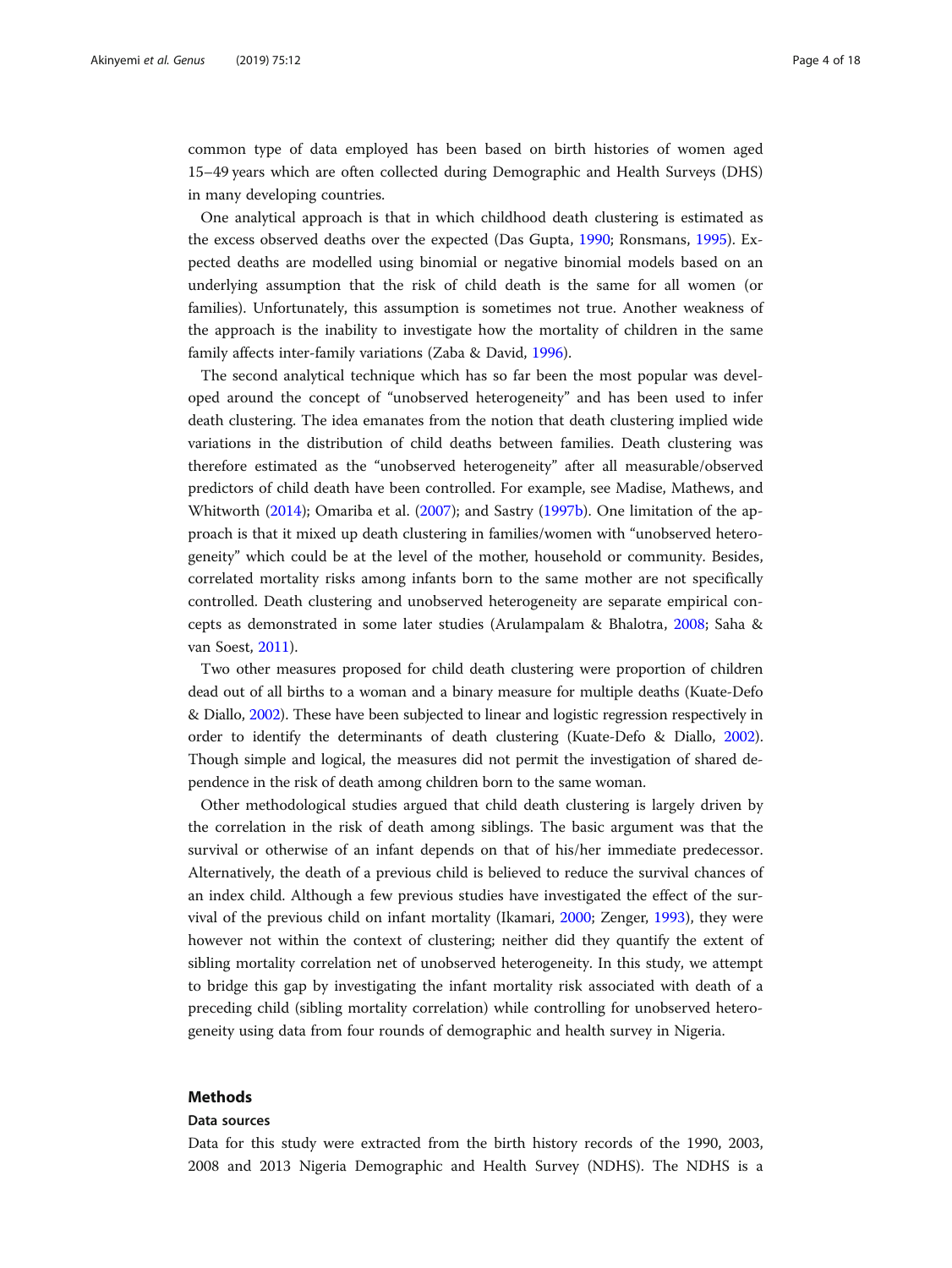common type of data employed has been based on birth histories of women aged 15–49 years which are often collected during Demographic and Health Surveys (DHS) in many developing countries.

One analytical approach is that in which childhood death clustering is estimated as the excess observed deaths over the expected (Das Gupta, [1990;](#page-16-0) Ronsmans, [1995](#page-16-0)). Expected deaths are modelled using binomial or negative binomial models based on an underlying assumption that the risk of child death is the same for all women (or families). Unfortunately, this assumption is sometimes not true. Another weakness of the approach is the inability to investigate how the mortality of children in the same family affects inter-family variations (Zaba & David, [1996](#page-17-0)).

The second analytical technique which has so far been the most popular was developed around the concept of "unobserved heterogeneity" and has been used to infer death clustering. The idea emanates from the notion that death clustering implied wide variations in the distribution of child deaths between families. Death clustering was therefore estimated as the "unobserved heterogeneity" after all measurable/observed predictors of child death have been controlled. For example, see Madise, Mathews, and Whitworth [\(2014\)](#page-16-0); Omariba et al. ([2007](#page-16-0)); and Sastry [\(1997b\)](#page-16-0). One limitation of the approach is that it mixed up death clustering in families/women with "unobserved heterogeneity" which could be at the level of the mother, household or community. Besides, correlated mortality risks among infants born to the same mother are not specifically controlled. Death clustering and unobserved heterogeneity are separate empirical concepts as demonstrated in some later studies (Arulampalam & Bhalotra, [2008](#page-16-0); Saha & van Soest, [2011](#page-16-0)).

Two other measures proposed for child death clustering were proportion of children dead out of all births to a woman and a binary measure for multiple deaths (Kuate-Defo & Diallo, [2002](#page-16-0)). These have been subjected to linear and logistic regression respectively in order to identify the determinants of death clustering (Kuate-Defo & Diallo, [2002](#page-16-0)). Though simple and logical, the measures did not permit the investigation of shared dependence in the risk of death among children born to the same woman.

Other methodological studies argued that child death clustering is largely driven by the correlation in the risk of death among siblings. The basic argument was that the survival or otherwise of an infant depends on that of his/her immediate predecessor. Alternatively, the death of a previous child is believed to reduce the survival chances of an index child. Although a few previous studies have investigated the effect of the survival of the previous child on infant mortality (Ikamari, [2000](#page-16-0); Zenger, [1993\)](#page-17-0), they were however not within the context of clustering; neither did they quantify the extent of sibling mortality correlation net of unobserved heterogeneity. In this study, we attempt to bridge this gap by investigating the infant mortality risk associated with death of a preceding child (sibling mortality correlation) while controlling for unobserved heterogeneity using data from four rounds of demographic and health survey in Nigeria.

# Methods

## Data sources

Data for this study were extracted from the birth history records of the 1990, 2003, 2008 and 2013 Nigeria Demographic and Health Survey (NDHS). The NDHS is a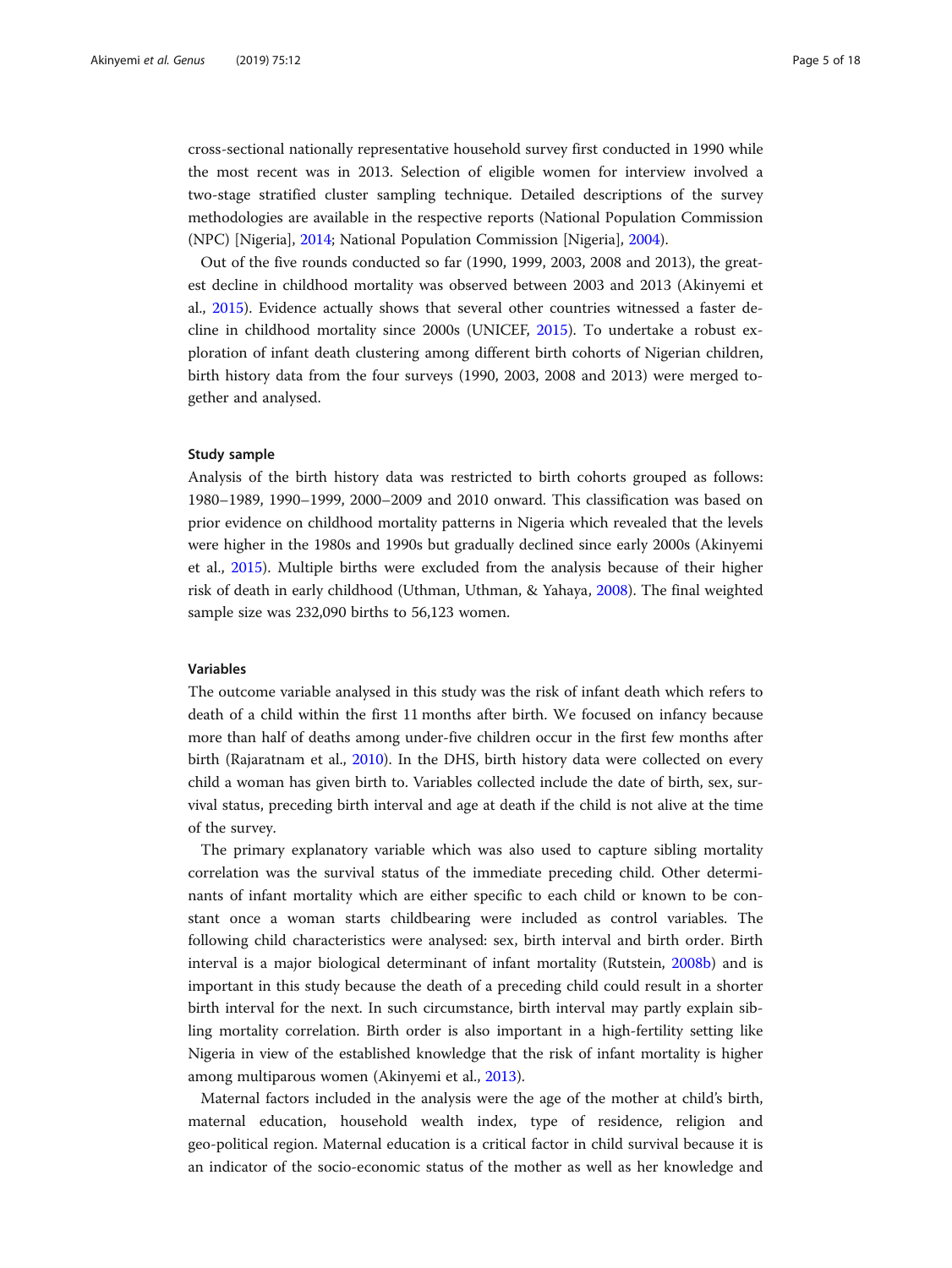cross-sectional nationally representative household survey first conducted in 1990 while the most recent was in 2013. Selection of eligible women for interview involved a two-stage stratified cluster sampling technique. Detailed descriptions of the survey methodologies are available in the respective reports (National Population Commission (NPC) [Nigeria], [2014;](#page-16-0) National Population Commission [Nigeria], [2004](#page-16-0)).

Out of the five rounds conducted so far (1990, 1999, 2003, 2008 and 2013), the greatest decline in childhood mortality was observed between 2003 and 2013 (Akinyemi et al., [2015\)](#page-15-0). Evidence actually shows that several other countries witnessed a faster decline in childhood mortality since 2000s (UNICEF, [2015](#page-17-0)). To undertake a robust exploration of infant death clustering among different birth cohorts of Nigerian children, birth history data from the four surveys (1990, 2003, 2008 and 2013) were merged together and analysed.

# Study sample

Analysis of the birth history data was restricted to birth cohorts grouped as follows: 1980–1989, 1990–1999, 2000–2009 and 2010 onward. This classification was based on prior evidence on childhood mortality patterns in Nigeria which revealed that the levels were higher in the 1980s and 1990s but gradually declined since early 2000s (Akinyemi et al., [2015](#page-15-0)). Multiple births were excluded from the analysis because of their higher risk of death in early childhood (Uthman, Uthman, & Yahaya, [2008\)](#page-17-0). The final weighted sample size was 232,090 births to 56,123 women.

# Variables

The outcome variable analysed in this study was the risk of infant death which refers to death of a child within the first 11 months after birth. We focused on infancy because more than half of deaths among under-five children occur in the first few months after birth (Rajaratnam et al., [2010](#page-16-0)). In the DHS, birth history data were collected on every child a woman has given birth to. Variables collected include the date of birth, sex, survival status, preceding birth interval and age at death if the child is not alive at the time of the survey.

The primary explanatory variable which was also used to capture sibling mortality correlation was the survival status of the immediate preceding child. Other determinants of infant mortality which are either specific to each child or known to be constant once a woman starts childbearing were included as control variables. The following child characteristics were analysed: sex, birth interval and birth order. Birth interval is a major biological determinant of infant mortality (Rutstein, [2008b](#page-16-0)) and is important in this study because the death of a preceding child could result in a shorter birth interval for the next. In such circumstance, birth interval may partly explain sibling mortality correlation. Birth order is also important in a high-fertility setting like Nigeria in view of the established knowledge that the risk of infant mortality is higher among multiparous women (Akinyemi et al., [2013](#page-16-0)).

Maternal factors included in the analysis were the age of the mother at child's birth, maternal education, household wealth index, type of residence, religion and geo-political region. Maternal education is a critical factor in child survival because it is an indicator of the socio-economic status of the mother as well as her knowledge and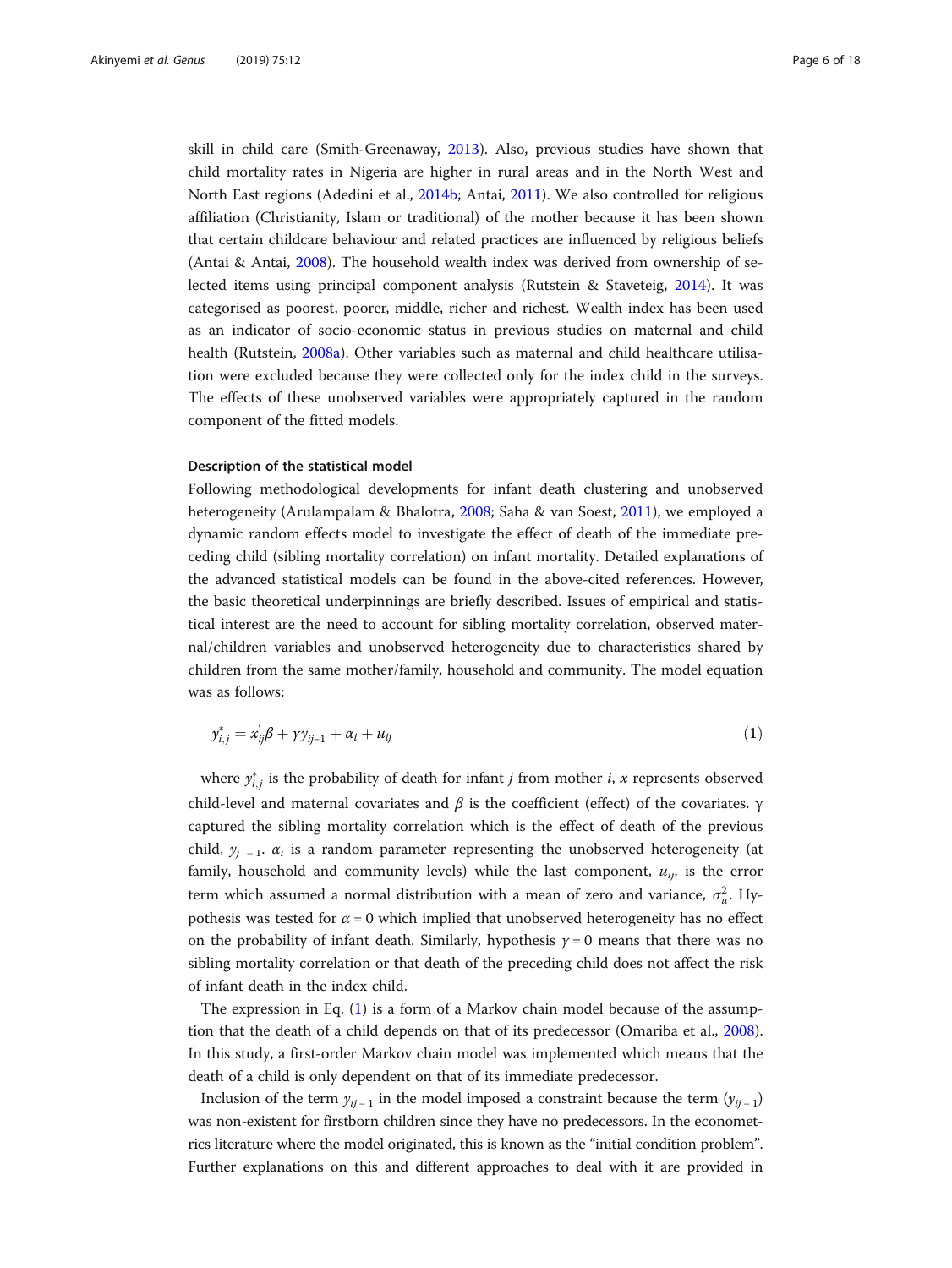<span id="page-5-0"></span>skill in child care (Smith-Greenaway, [2013](#page-16-0)). Also, previous studies have shown that child mortality rates in Nigeria are higher in rural areas and in the North West and North East regions (Adedini et al., [2014b](#page-15-0); Antai, [2011\)](#page-16-0). We also controlled for religious affiliation (Christianity, Islam or traditional) of the mother because it has been shown that certain childcare behaviour and related practices are influenced by religious beliefs (Antai & Antai, [2008\)](#page-16-0). The household wealth index was derived from ownership of selected items using principal component analysis (Rutstein & Staveteig, [2014\)](#page-16-0). It was categorised as poorest, poorer, middle, richer and richest. Wealth index has been used as an indicator of socio-economic status in previous studies on maternal and child health (Rutstein, [2008a](#page-16-0)). Other variables such as maternal and child healthcare utilisation were excluded because they were collected only for the index child in the surveys. The effects of these unobserved variables were appropriately captured in the random component of the fitted models.

# Description of the statistical model

Following methodological developments for infant death clustering and unobserved heterogeneity (Arulampalam & Bhalotra, [2008](#page-16-0); Saha & van Soest, [2011](#page-16-0)), we employed a dynamic random effects model to investigate the effect of death of the immediate preceding child (sibling mortality correlation) on infant mortality. Detailed explanations of the advanced statistical models can be found in the above-cited references. However, the basic theoretical underpinnings are briefly described. Issues of empirical and statistical interest are the need to account for sibling mortality correlation, observed maternal/children variables and unobserved heterogeneity due to characteristics shared by children from the same mother/family, household and community. The model equation was as follows:

$$
y_{i,j}^* = x_{ij}'\beta + \gamma y_{ij-1} + \alpha_i + u_{ij}
$$
\n<sup>(1)</sup>

where  $y_{i,j}^*$  is the probability of death for infant *j* from mother *i*, *x* represents observed child-level and maternal covariates and  $\beta$  is the coefficient (effect) of the covariates. γ captured the sibling mortality correlation which is the effect of death of the previous child,  $y_{i-1}$ .  $\alpha_i$  is a random parameter representing the unobserved heterogeneity (at family, household and community levels) while the last component,  $u_{ij}$ , is the error term which assumed a normal distribution with a mean of zero and variance,  $\sigma_u^2$ . Hypothesis was tested for  $\alpha = 0$  which implied that unobserved heterogeneity has no effect on the probability of infant death. Similarly, hypothesis  $\gamma = 0$  means that there was no sibling mortality correlation or that death of the preceding child does not affect the risk of infant death in the index child.

The expression in Eq. (1) is a form of a Markov chain model because of the assumption that the death of a child depends on that of its predecessor (Omariba et al., [2008](#page-16-0)). In this study, a first-order Markov chain model was implemented which means that the death of a child is only dependent on that of its immediate predecessor.

Inclusion of the term  $y_{ii-1}$  in the model imposed a constraint because the term  $(y_{ii-1})$ was non-existent for firstborn children since they have no predecessors. In the econometrics literature where the model originated, this is known as the "initial condition problem". Further explanations on this and different approaches to deal with it are provided in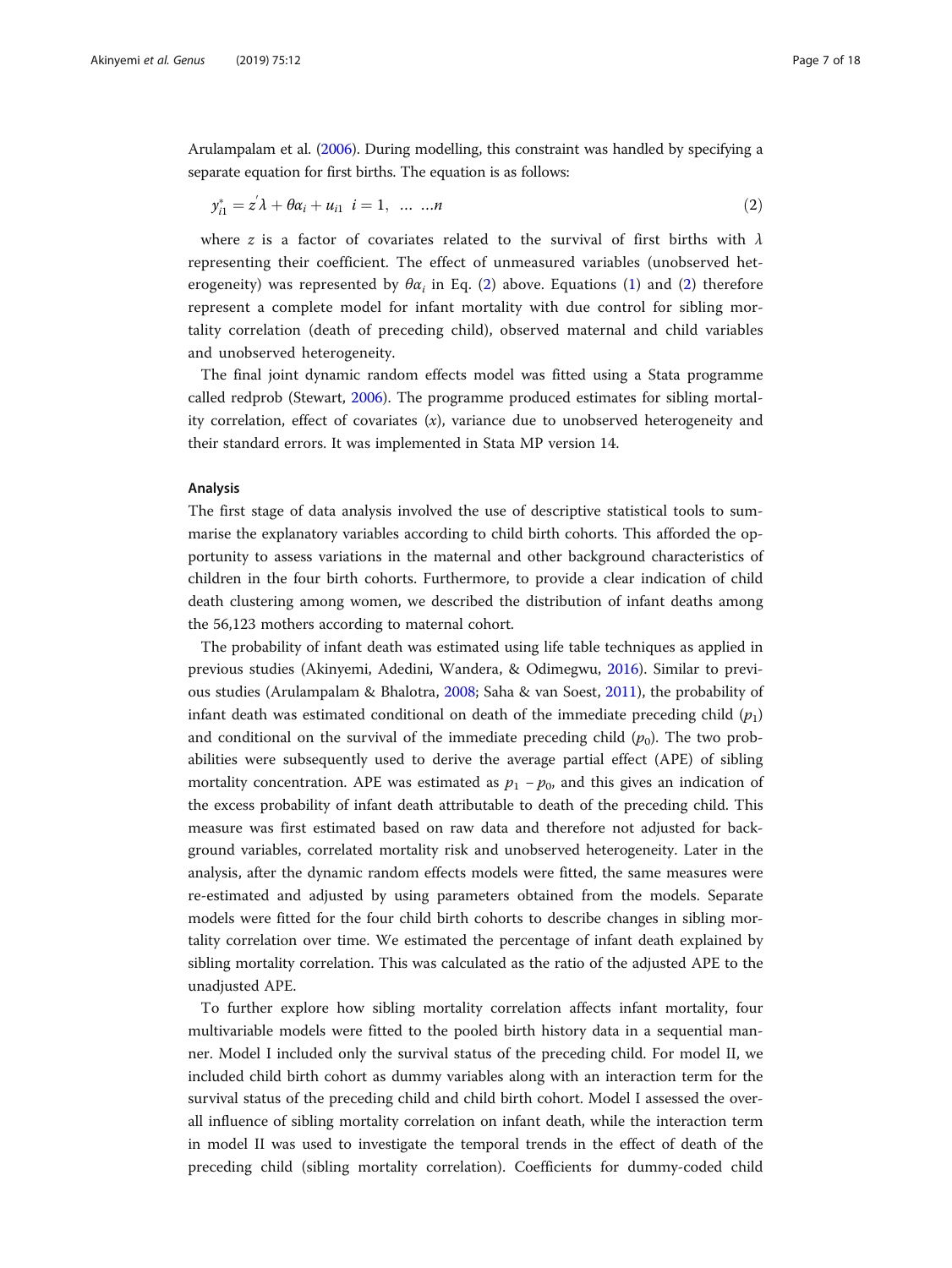Arulampalam et al. ([2006](#page-15-0)). During modelling, this constraint was handled by specifying a separate equation for first births. The equation is as follows:

$$
y_{i1}^* = z'\lambda + \theta \alpha_i + u_{i1} \quad i = 1, \quad \dots \quad \dots n \tag{2}
$$

where z is a factor of covariates related to the survival of first births with  $\lambda$ representing their coefficient. The effect of unmeasured variables (unobserved heterogeneity) was represented by  $\theta \alpha_i$  in Eq. (2) above. Equations [\(1](#page-5-0)) and (2) therefore represent a complete model for infant mortality with due control for sibling mortality correlation (death of preceding child), observed maternal and child variables and unobserved heterogeneity.

The final joint dynamic random effects model was fitted using a Stata programme called redprob (Stewart, [2006](#page-17-0)). The programme produced estimates for sibling mortality correlation, effect of covariates  $(x)$ , variance due to unobserved heterogeneity and their standard errors. It was implemented in Stata MP version 14.

# Analysis

The first stage of data analysis involved the use of descriptive statistical tools to summarise the explanatory variables according to child birth cohorts. This afforded the opportunity to assess variations in the maternal and other background characteristics of children in the four birth cohorts. Furthermore, to provide a clear indication of child death clustering among women, we described the distribution of infant deaths among the 56,123 mothers according to maternal cohort.

The probability of infant death was estimated using life table techniques as applied in previous studies (Akinyemi, Adedini, Wandera, & Odimegwu, [2016\)](#page-15-0). Similar to previous studies (Arulampalam & Bhalotra, [2008;](#page-16-0) Saha & van Soest, [2011\)](#page-16-0), the probability of infant death was estimated conditional on death of the immediate preceding child  $(p_1)$ and conditional on the survival of the immediate preceding child  $(p_0)$ . The two probabilities were subsequently used to derive the average partial effect (APE) of sibling mortality concentration. APE was estimated as  $p_1 - p_0$ , and this gives an indication of the excess probability of infant death attributable to death of the preceding child. This measure was first estimated based on raw data and therefore not adjusted for background variables, correlated mortality risk and unobserved heterogeneity. Later in the analysis, after the dynamic random effects models were fitted, the same measures were re-estimated and adjusted by using parameters obtained from the models. Separate models were fitted for the four child birth cohorts to describe changes in sibling mortality correlation over time. We estimated the percentage of infant death explained by sibling mortality correlation. This was calculated as the ratio of the adjusted APE to the unadjusted APE.

To further explore how sibling mortality correlation affects infant mortality, four multivariable models were fitted to the pooled birth history data in a sequential manner. Model I included only the survival status of the preceding child. For model II, we included child birth cohort as dummy variables along with an interaction term for the survival status of the preceding child and child birth cohort. Model I assessed the overall influence of sibling mortality correlation on infant death, while the interaction term in model II was used to investigate the temporal trends in the effect of death of the preceding child (sibling mortality correlation). Coefficients for dummy-coded child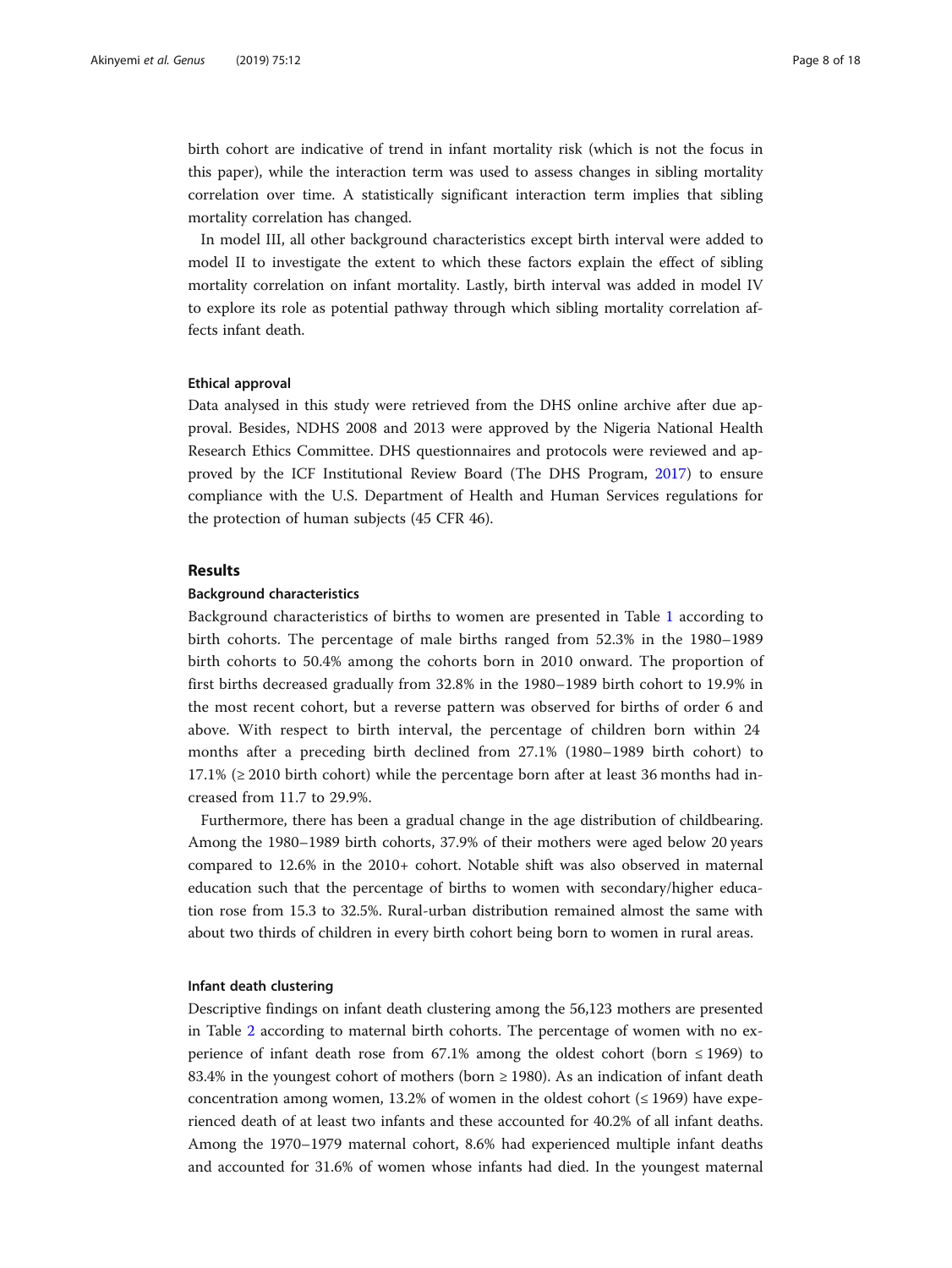birth cohort are indicative of trend in infant mortality risk (which is not the focus in this paper), while the interaction term was used to assess changes in sibling mortality correlation over time. A statistically significant interaction term implies that sibling mortality correlation has changed.

In model III, all other background characteristics except birth interval were added to model II to investigate the extent to which these factors explain the effect of sibling mortality correlation on infant mortality. Lastly, birth interval was added in model IV to explore its role as potential pathway through which sibling mortality correlation affects infant death.

# Ethical approval

Data analysed in this study were retrieved from the DHS online archive after due approval. Besides, NDHS 2008 and 2013 were approved by the Nigeria National Health Research Ethics Committee. DHS questionnaires and protocols were reviewed and approved by the ICF Institutional Review Board (The DHS Program, [2017\)](#page-17-0) to ensure compliance with the U.S. Department of Health and Human Services regulations for the protection of human subjects (45 CFR 46).

# Results

# Background characteristics

Background characteristics of births to women are presented in Table [1](#page-8-0) according to birth cohorts. The percentage of male births ranged from 52.3% in the 1980–1989 birth cohorts to 50.4% among the cohorts born in 2010 onward. The proportion of first births decreased gradually from 32.8% in the 1980–1989 birth cohort to 19.9% in the most recent cohort, but a reverse pattern was observed for births of order 6 and above. With respect to birth interval, the percentage of children born within 24 months after a preceding birth declined from 27.1% (1980–1989 birth cohort) to  $17.1\%$  ( $\geq$  2010 birth cohort) while the percentage born after at least 36 months had increased from 11.7 to 29.9%.

Furthermore, there has been a gradual change in the age distribution of childbearing. Among the 1980–1989 birth cohorts, 37.9% of their mothers were aged below 20 years compared to 12.6% in the 2010+ cohort. Notable shift was also observed in maternal education such that the percentage of births to women with secondary/higher education rose from 15.3 to 32.5%. Rural-urban distribution remained almost the same with about two thirds of children in every birth cohort being born to women in rural areas.

# Infant death clustering

Descriptive findings on infant death clustering among the 56,123 mothers are presented in Table [2](#page-9-0) according to maternal birth cohorts. The percentage of women with no experience of infant death rose from 67.1% among the oldest cohort (born  $\leq$  1969) to 83.4% in the youngest cohort of mothers (born  $\geq$  1980). As an indication of infant death concentration among women, 13.2% of women in the oldest cohort  $(\leq 1969)$  have experienced death of at least two infants and these accounted for 40.2% of all infant deaths. Among the 1970–1979 maternal cohort, 8.6% had experienced multiple infant deaths and accounted for 31.6% of women whose infants had died. In the youngest maternal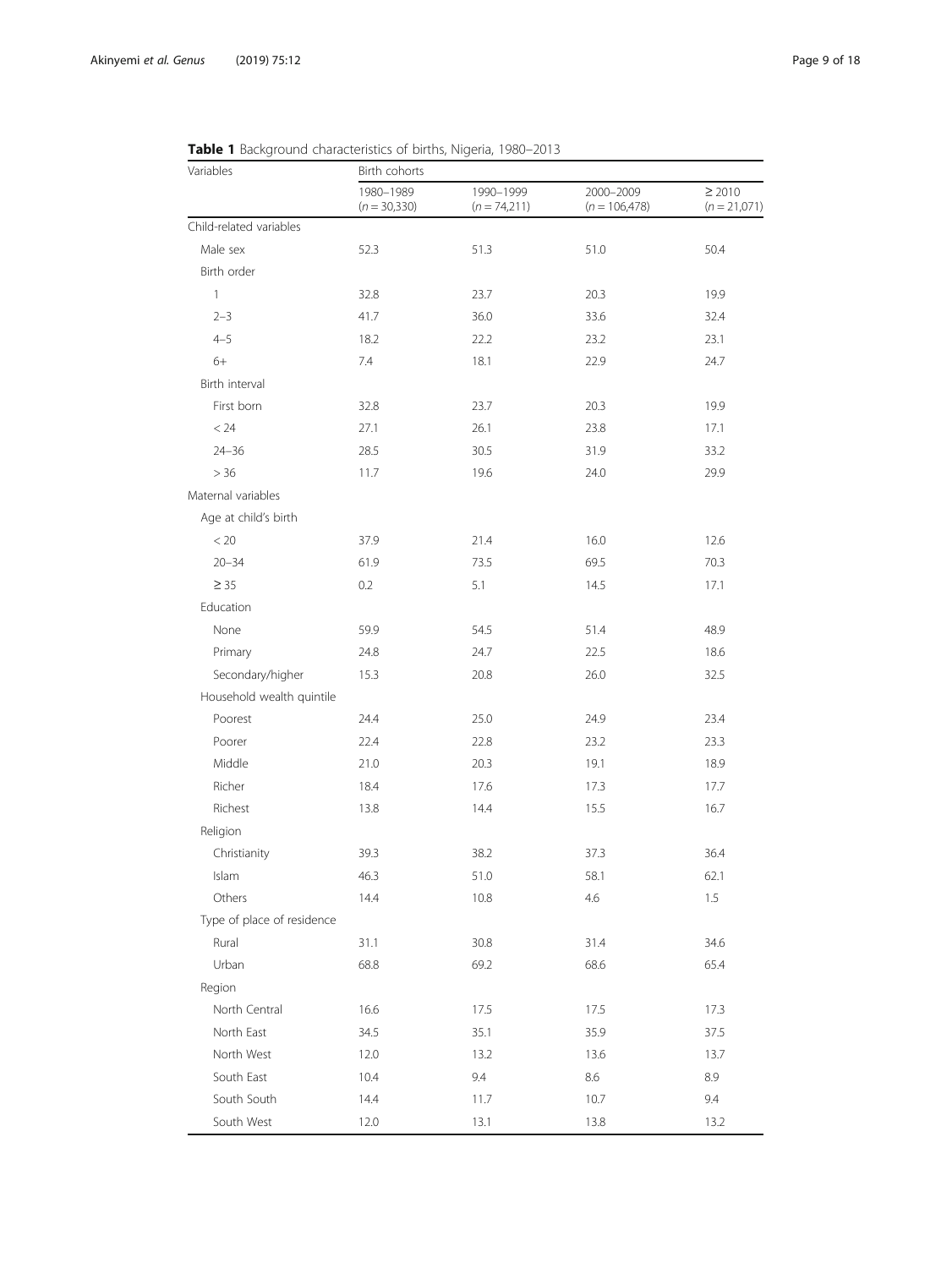| Variables                  | <b>Table 1</b> Dackground Characteristics of Differs, Higena, 1900–2015<br>Birth cohorts |                             |                              |                               |  |  |  |
|----------------------------|------------------------------------------------------------------------------------------|-----------------------------|------------------------------|-------------------------------|--|--|--|
|                            | 1980-1989<br>$(n = 30,330)$                                                              | 1990-1999<br>$(n = 74,211)$ | 2000-2009<br>$(n = 106,478)$ | $\geq 2010$<br>$(n = 21,071)$ |  |  |  |
| Child-related variables    |                                                                                          |                             |                              |                               |  |  |  |
| Male sex                   | 52.3                                                                                     | 51.3                        | 51.0                         | 50.4                          |  |  |  |
| Birth order                |                                                                                          |                             |                              |                               |  |  |  |
| $\mathbf{1}$               | 32.8                                                                                     | 23.7                        | 20.3                         | 19.9                          |  |  |  |
| $2 - 3$                    | 41.7                                                                                     | 36.0                        | 33.6                         | 32.4                          |  |  |  |
| $4 - 5$                    | 18.2                                                                                     | 22.2                        | 23.2                         | 23.1                          |  |  |  |
| $6+$                       | 7.4                                                                                      | 18.1                        | 22.9                         | 24.7                          |  |  |  |
| Birth interval             |                                                                                          |                             |                              |                               |  |  |  |
| First born                 | 32.8                                                                                     | 23.7                        | 20.3                         | 19.9                          |  |  |  |
| < 24                       | 27.1                                                                                     | 26.1                        | 23.8                         | 17.1                          |  |  |  |
| $24 - 36$                  | 28.5                                                                                     | 30.5                        | 31.9                         | 33.2                          |  |  |  |
| > 36                       | 11.7                                                                                     | 19.6                        | 24.0                         | 29.9                          |  |  |  |
| Maternal variables         |                                                                                          |                             |                              |                               |  |  |  |
| Age at child's birth       |                                                                                          |                             |                              |                               |  |  |  |
| < 20                       | 37.9                                                                                     | 21.4                        | 16.0                         | 12.6                          |  |  |  |
| $20 - 34$                  | 61.9                                                                                     | 73.5                        | 69.5                         | 70.3                          |  |  |  |
| $\geq 35$                  | 0.2                                                                                      | 5.1                         | 14.5                         | 17.1                          |  |  |  |
| Education                  |                                                                                          |                             |                              |                               |  |  |  |
| None                       | 59.9                                                                                     | 54.5                        | 51.4                         | 48.9                          |  |  |  |
| Primary                    | 24.8                                                                                     | 24.7                        | 22.5                         | 18.6                          |  |  |  |
| Secondary/higher           | 15.3                                                                                     | 20.8                        | 26.0                         | 32.5                          |  |  |  |
| Household wealth quintile  |                                                                                          |                             |                              |                               |  |  |  |
| Poorest                    | 24.4                                                                                     | 25.0                        | 24.9                         | 23.4                          |  |  |  |
| Poorer                     | 22.4                                                                                     | 22.8                        | 23.2                         | 23.3                          |  |  |  |
| Middle                     | 21.0                                                                                     | 20.3                        | 19.1                         | 18.9                          |  |  |  |
| Richer                     | 18.4                                                                                     | 17.6                        | 17.3                         | 17.7                          |  |  |  |
| Richest                    | 13.8                                                                                     | 14.4                        | 15.5                         | 16.7                          |  |  |  |
| Religion                   |                                                                                          |                             |                              |                               |  |  |  |
| Christianity               | 39.3                                                                                     | 38.2                        | 37.3                         | 36.4                          |  |  |  |
| Islam                      | 46.3                                                                                     | 51.0                        | 58.1                         | 62.1                          |  |  |  |
| Others                     | 14.4                                                                                     | 10.8                        | 4.6                          | 1.5                           |  |  |  |
| Type of place of residence |                                                                                          |                             |                              |                               |  |  |  |
| Rural                      | 31.1                                                                                     | 30.8                        | 31.4                         | 34.6                          |  |  |  |
| Urban                      | 68.8                                                                                     | 69.2                        | 68.6                         | 65.4                          |  |  |  |
| Region                     |                                                                                          |                             |                              |                               |  |  |  |
| North Central              | 16.6                                                                                     | 17.5                        | 17.5                         | 17.3                          |  |  |  |
| North East                 | 34.5                                                                                     | 35.1                        | 35.9                         | 37.5                          |  |  |  |
| North West                 | 12.0                                                                                     | 13.2                        | 13.6                         | 13.7                          |  |  |  |
| South East                 | 10.4                                                                                     | 9.4                         | 8.6                          | 8.9                           |  |  |  |
| South South                | 14.4                                                                                     | 11.7                        | 10.7                         | 9.4                           |  |  |  |
| South West                 | 12.0                                                                                     | 13.1                        | 13.8                         | 13.2                          |  |  |  |

<span id="page-8-0"></span>Table 1 Background characteristics of births, Nigeria, 1980–2013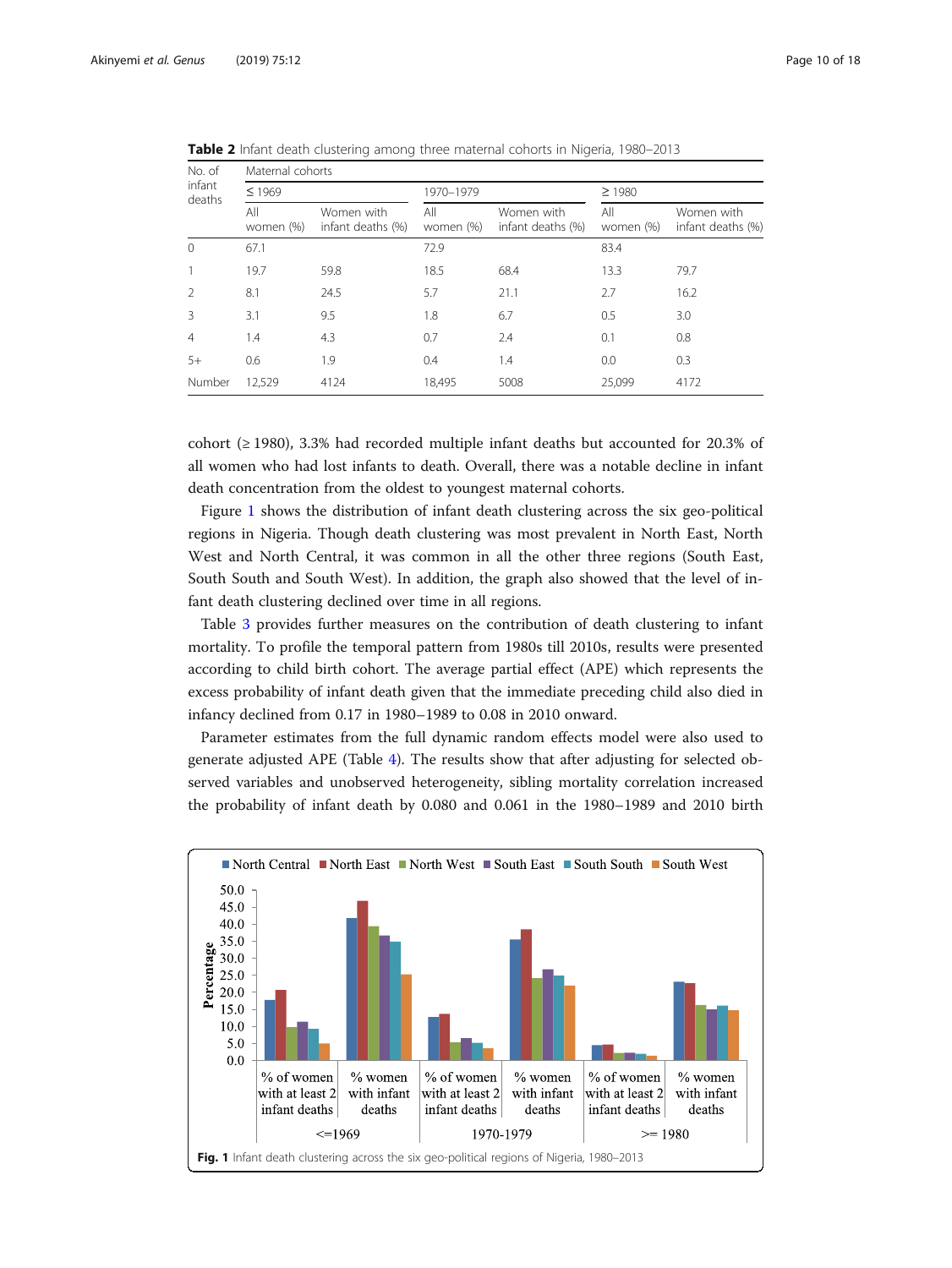| No. of<br>infant<br>deaths | Maternal cohorts |                                 |                  |                                 |                  |                                 |  |
|----------------------------|------------------|---------------------------------|------------------|---------------------------------|------------------|---------------------------------|--|
|                            | $\leq 1969$      |                                 | 1970-1979        |                                 |                  | $\geq 1980$                     |  |
|                            | All<br>women (%) | Women with<br>infant deaths (%) | All<br>women (%) | Women with<br>infant deaths (%) | All<br>women (%) | Women with<br>infant deaths (%) |  |
| $\overline{0}$             | 67.1             |                                 | 72.9             |                                 | 83.4             |                                 |  |
| 1                          | 19.7             | 59.8                            | 18.5             | 68.4                            | 13.3             | 79.7                            |  |
| $\overline{2}$             | 8.1              | 24.5                            | 5.7              | 21.1                            | 2.7              | 16.2                            |  |
| $\overline{3}$             | 3.1              | 9.5                             | 1.8              | 6.7                             | 0.5              | 3.0                             |  |
| $\overline{4}$             | 1.4              | 4.3                             | 0.7              | 2.4                             | 0.1              | 0.8                             |  |
| $5+$                       | 0.6              | 1.9                             | 0.4              | 1.4                             | 0.0              | 0.3                             |  |
| Number                     | 12.529           | 4124                            | 18,495           | 5008                            | 25.099           | 4172                            |  |

<span id="page-9-0"></span>Table 2 Infant death clustering among three maternal cohorts in Nigeria, 1980-2013

cohort ( $\geq$  1980), 3.3% had recorded multiple infant deaths but accounted for 20.3% of all women who had lost infants to death. Overall, there was a notable decline in infant death concentration from the oldest to youngest maternal cohorts.

Figure 1 shows the distribution of infant death clustering across the six geo-political regions in Nigeria. Though death clustering was most prevalent in North East, North West and North Central, it was common in all the other three regions (South East, South South and South West). In addition, the graph also showed that the level of infant death clustering declined over time in all regions.

Table [3](#page-10-0) provides further measures on the contribution of death clustering to infant mortality. To profile the temporal pattern from 1980s till 2010s, results were presented according to child birth cohort. The average partial effect (APE) which represents the excess probability of infant death given that the immediate preceding child also died in infancy declined from 0.17 in 1980–1989 to 0.08 in 2010 onward.

Parameter estimates from the full dynamic random effects model were also used to generate adjusted APE (Table [4](#page-10-0)). The results show that after adjusting for selected observed variables and unobserved heterogeneity, sibling mortality correlation increased the probability of infant death by 0.080 and 0.061 in the 1980–1989 and 2010 birth

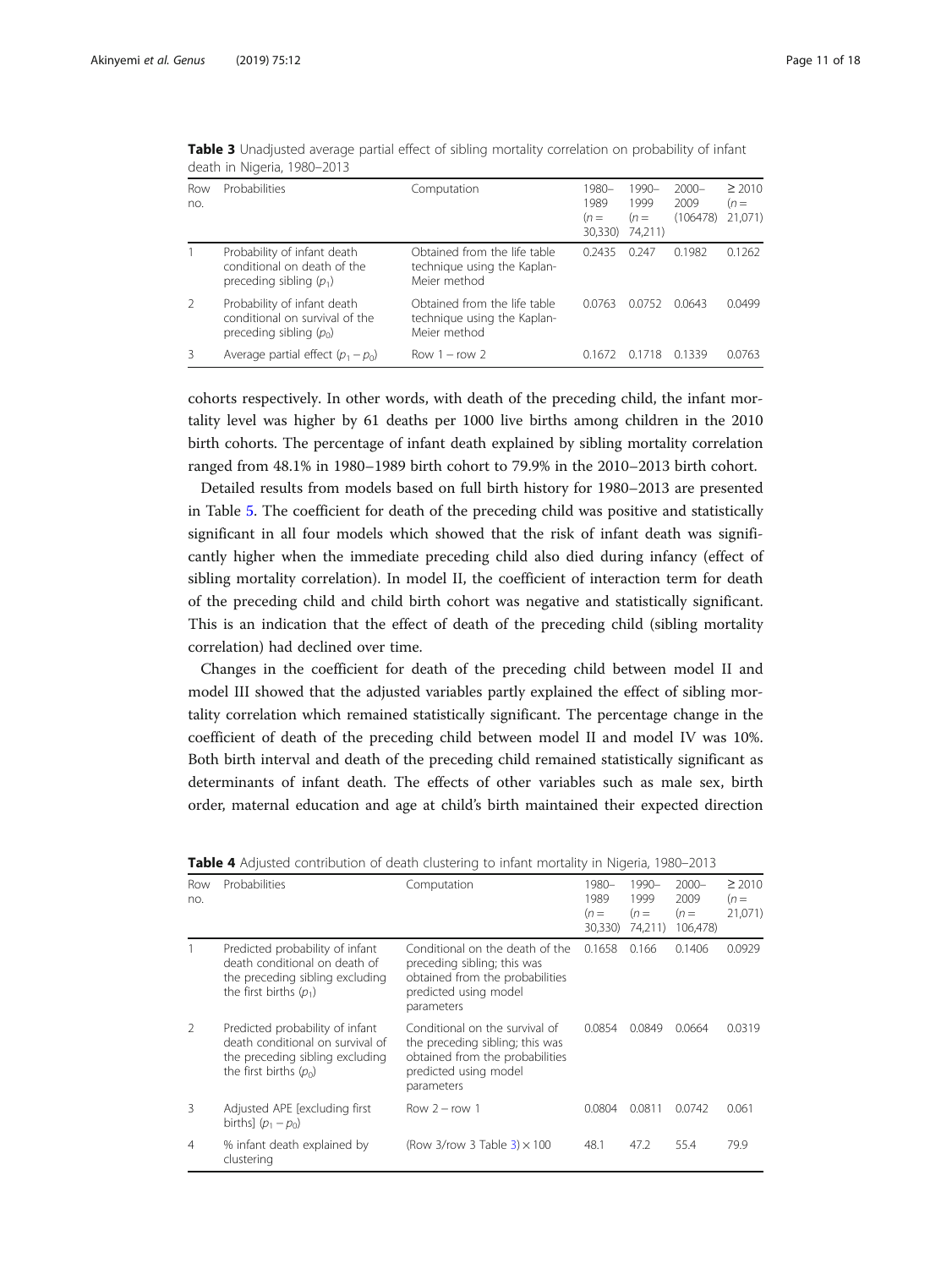| Row<br>no.    | Probabilities                                                                              | Computation                                                                 | 1980–<br>1989<br>$(n=$<br>30,330) | 1990–<br>1999<br>$(n=$<br>74,211) | $2000 -$<br>2009<br>(106478) | $\geq 2010$<br>$(n=$<br>21,071) |
|---------------|--------------------------------------------------------------------------------------------|-----------------------------------------------------------------------------|-----------------------------------|-----------------------------------|------------------------------|---------------------------------|
|               | Probability of infant death<br>conditional on death of the<br>preceding sibling $(p_1)$    | Obtained from the life table<br>technique using the Kaplan-<br>Meier method | 0.2435                            | 0.247                             | 0.1982                       | 0.1262                          |
| $\mathcal{P}$ | Probability of infant death<br>conditional on survival of the<br>preceding sibling $(p_0)$ | Obtained from the life table<br>technique using the Kaplan-<br>Meier method | 0.0763                            | 0.0752                            | 0.0643                       | 0.0499                          |
|               | Average partial effect $(p_1 - p_0)$                                                       | Row $1 - row 2$                                                             | 0.16/2                            | 0.1718                            | 01339                        | 0.0763                          |

<span id="page-10-0"></span>Table 3 Unadjusted average partial effect of sibling mortality correlation on probability of infant death in Nigeria, 1980–2013

cohorts respectively. In other words, with death of the preceding child, the infant mortality level was higher by 61 deaths per 1000 live births among children in the 2010 birth cohorts. The percentage of infant death explained by sibling mortality correlation ranged from 48.1% in 1980–1989 birth cohort to 79.9% in the 2010–2013 birth cohort.

Detailed results from models based on full birth history for 1980–2013 are presented in Table [5.](#page-11-0) The coefficient for death of the preceding child was positive and statistically significant in all four models which showed that the risk of infant death was significantly higher when the immediate preceding child also died during infancy (effect of sibling mortality correlation). In model II, the coefficient of interaction term for death of the preceding child and child birth cohort was negative and statistically significant. This is an indication that the effect of death of the preceding child (sibling mortality correlation) had declined over time.

Changes in the coefficient for death of the preceding child between model II and model III showed that the adjusted variables partly explained the effect of sibling mortality correlation which remained statistically significant. The percentage change in the coefficient of death of the preceding child between model II and model IV was 10%. Both birth interval and death of the preceding child remained statistically significant as determinants of infant death. The effects of other variables such as male sex, birth order, maternal education and age at child's birth maintained their expected direction

| Row<br>no.     | Probabilities                                                                                                                      | Computation                                                                                                                                 | 1980-<br>1989<br>$(n=$<br>30,330) | $1990 -$<br>1999<br>$(n=$<br>74,211) | $2000 -$<br>2009<br>$(n=$<br>106,478) | $\geq 2010$<br>$(n=$<br>21,071) |
|----------------|------------------------------------------------------------------------------------------------------------------------------------|---------------------------------------------------------------------------------------------------------------------------------------------|-----------------------------------|--------------------------------------|---------------------------------------|---------------------------------|
|                | Predicted probability of infant<br>death conditional on death of<br>the preceding sibling excluding<br>the first births $(p_1)$    | Conditional on the death of the<br>preceding sibling; this was<br>obtained from the probabilities<br>predicted using model<br>parameters    | 0.1658                            | 0.166                                | 0.1406                                | 0.0929                          |
| $\mathfrak{D}$ | Predicted probability of infant<br>death conditional on survival of<br>the preceding sibling excluding<br>the first births $(p_0)$ | Conditional on the survival of<br>the preceding sibling; this was<br>obtained from the probabilities<br>predicted using model<br>parameters | 0.0854                            | 0.0849                               | 0.0664                                | 0.0319                          |
| 3              | Adjusted APE [excluding first<br>births] $(p_1 - p_0)$                                                                             | Row $2 - row 1$                                                                                                                             | 0.0804                            | 0.0811                               | 0.0742                                | 0.061                           |
| 4              | % infant death explained by<br>clustering                                                                                          | (Row 3/row 3 Table $3 \times 100$                                                                                                           | 48.1                              | 47.2                                 | 55.4                                  | 79.9                            |

| <b>Table 4</b> Adjusted contribution of death clustering to infant mortality in Nigeria, 1980–2013 |  |  |  |  |
|----------------------------------------------------------------------------------------------------|--|--|--|--|
|----------------------------------------------------------------------------------------------------|--|--|--|--|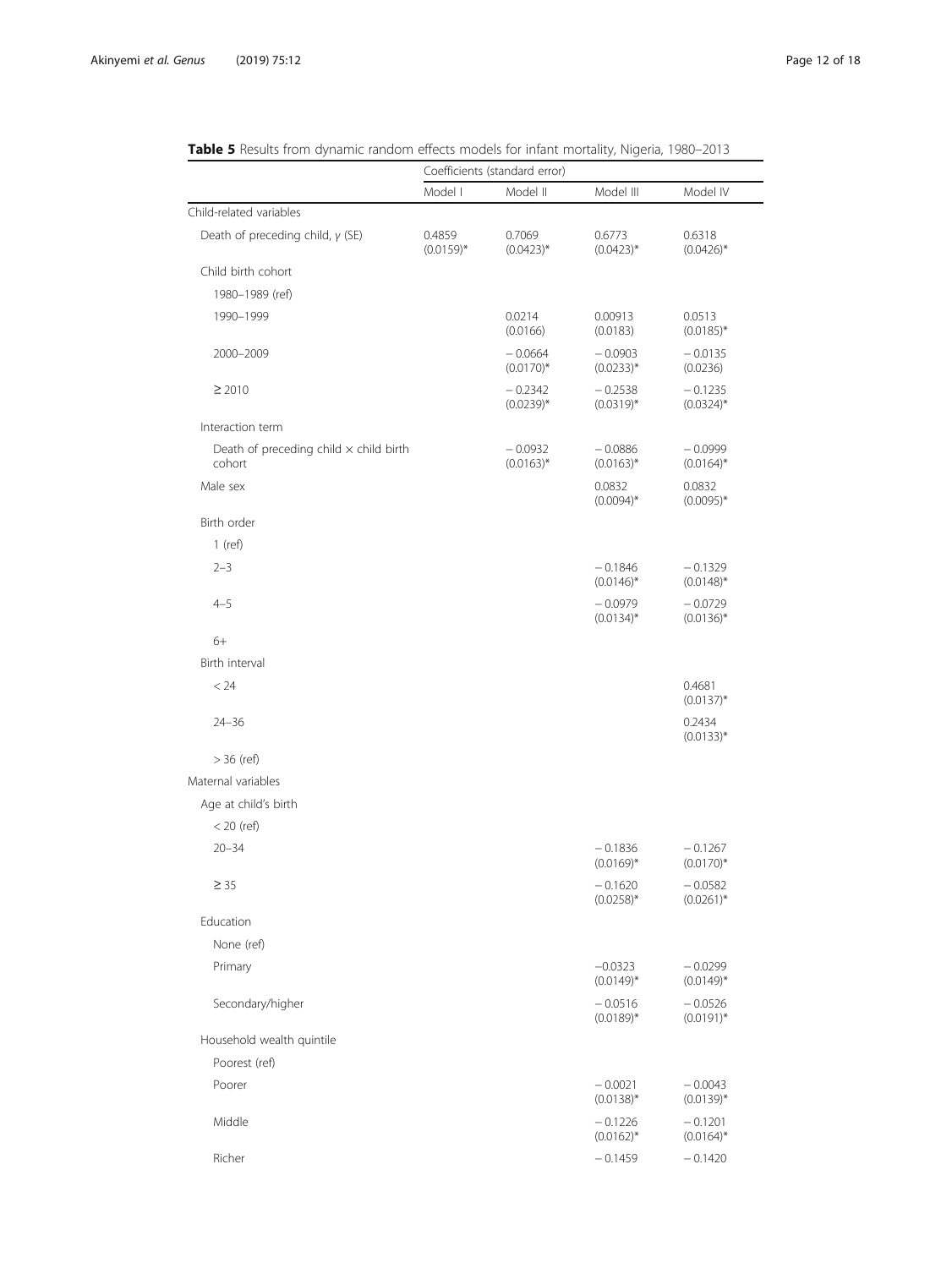|                                                         |                        | Coefficients (standard error) |                           |                           |
|---------------------------------------------------------|------------------------|-------------------------------|---------------------------|---------------------------|
|                                                         | Model I                | Model II                      | Model III                 | Model IV                  |
| Child-related variables                                 |                        |                               |                           |                           |
| Death of preceding child, $\gamma$ (SE)                 | 0.4859<br>$(0.0159)^*$ | 0.7069<br>$(0.0423)^*$        | 0.6773<br>$(0.0423)^*$    | 0.6318<br>$(0.0426)$ *    |
| Child birth cohort                                      |                        |                               |                           |                           |
| 1980-1989 (ref)                                         |                        |                               |                           |                           |
| 1990-1999                                               |                        | 0.0214<br>(0.0166)            | 0.00913<br>(0.0183)       | 0.0513<br>$(0.0185)^*$    |
| 2000-2009                                               |                        | $-0.0664$<br>$(0.0170)$ *     | $-0.0903$<br>$(0.0233)^*$ | $-0.0135$<br>(0.0236)     |
| $\geq 2010$                                             |                        | $-0.2342$<br>$(0.0239)*$      | $-0.2538$<br>$(0.0319)^*$ | $-0.1235$<br>$(0.0324)$ * |
| Interaction term                                        |                        |                               |                           |                           |
| Death of preceding child $\times$ child birth<br>cohort |                        | $-0.0932$<br>$(0.0163)^*$     | $-0.0886$<br>$(0.0163)^*$ | $-0.0999$<br>$(0.0164)^*$ |
| Male sex                                                |                        |                               | 0.0832<br>$(0.0094)$ *    | 0.0832<br>$(0.0095)^*$    |
| Birth order                                             |                        |                               |                           |                           |
| $1$ (ref)                                               |                        |                               |                           |                           |
| $2 - 3$                                                 |                        |                               | $-0.1846$<br>$(0.0146)^*$ | $-0.1329$<br>$(0.0148)^*$ |
| $4 - 5$                                                 |                        |                               | $-0.0979$<br>$(0.0134)^*$ | $-0.0729$<br>$(0.0136)^*$ |
| $6+$                                                    |                        |                               |                           |                           |
| Birth interval                                          |                        |                               |                           |                           |
| < 24                                                    |                        |                               |                           | 0.4681<br>$(0.0137)^*$    |
| $24 - 36$                                               |                        |                               |                           | 0.2434<br>$(0.0133)^*$    |
| $>$ 36 (ref)                                            |                        |                               |                           |                           |
| Maternal variables                                      |                        |                               |                           |                           |
| Age at child's birth                                    |                        |                               |                           |                           |
| $<$ 20 (ref)                                            |                        |                               |                           |                           |
| $20 - 34$                                               |                        |                               | $-0.1836$<br>$(0.0169)^*$ | $-0.1267$<br>$(0.0170)$ * |
| $\geq 35$                                               |                        |                               | $-0.1620$<br>$(0.0258)*$  | $-0.0582$<br>$(0.0261)^*$ |
| Education                                               |                        |                               |                           |                           |
| None (ref)                                              |                        |                               |                           |                           |
| Primary                                                 |                        |                               | $-0.0323$<br>$(0.0149)^*$ | $-0.0299$<br>$(0.0149)^*$ |
| Secondary/higher                                        |                        |                               | $-0.0516$<br>$(0.0189)*$  | $-0.0526$<br>$(0.0191)^*$ |
| Household wealth quintile                               |                        |                               |                           |                           |
| Poorest (ref)                                           |                        |                               |                           |                           |
| Poorer                                                  |                        |                               | $-0.0021$<br>$(0.0138)^*$ | $-0.0043$<br>$(0.0139)*$  |
| Middle                                                  |                        |                               | $-0.1226$<br>$(0.0162)^*$ | $-0.1201$<br>$(0.0164)^*$ |
| Richer                                                  |                        |                               | $-0.1459$                 | $-0.1420$                 |

<span id="page-11-0"></span>

| Table 5 Results from dynamic random effects models for infant mortality, Nigeria, 1980–2013 |  |
|---------------------------------------------------------------------------------------------|--|
|---------------------------------------------------------------------------------------------|--|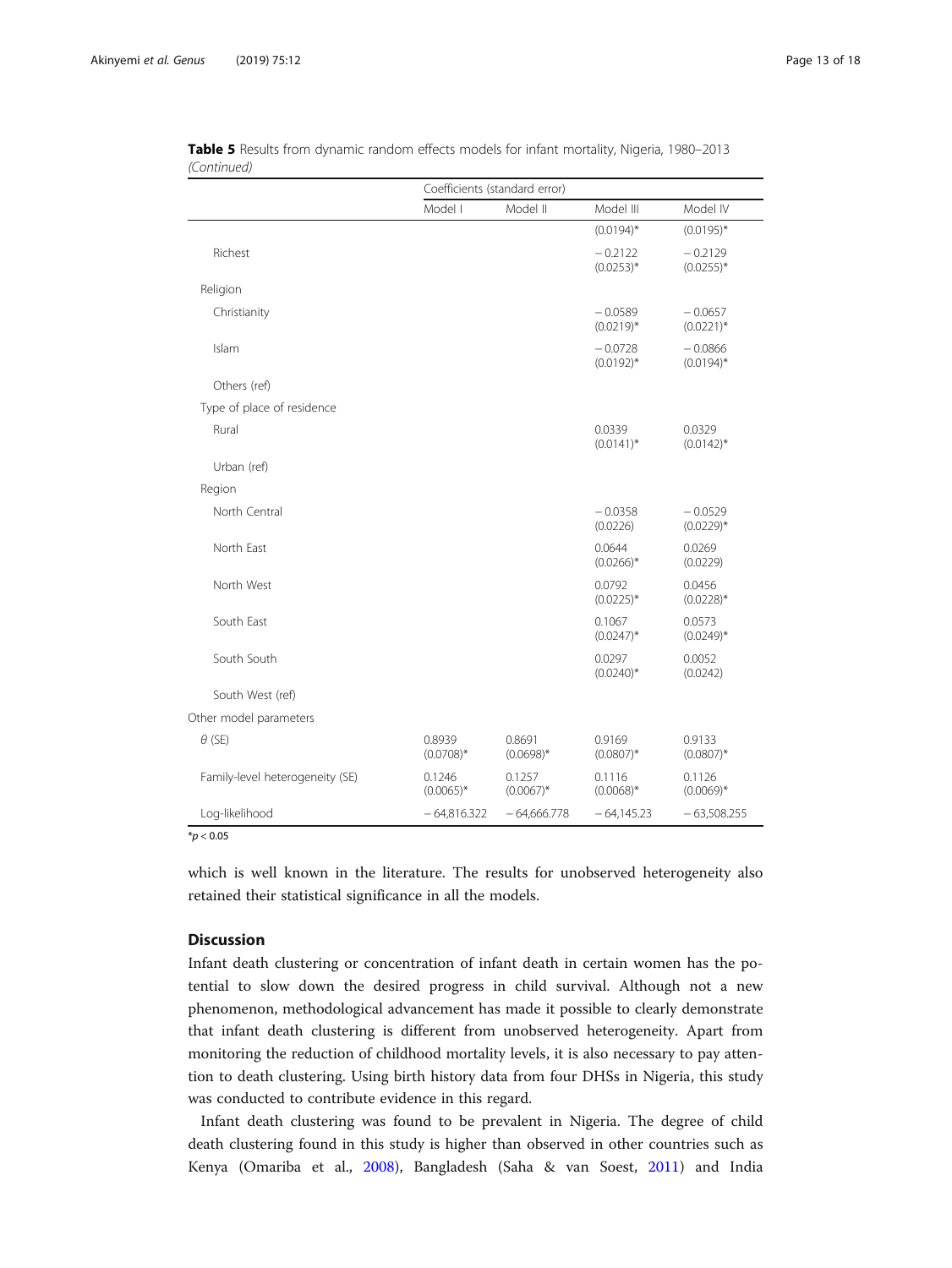|                                 | Coefficients (standard error) |                        |                           |                           |  |  |
|---------------------------------|-------------------------------|------------------------|---------------------------|---------------------------|--|--|
|                                 | Model I                       | Model II               | Model III                 | Model IV                  |  |  |
|                                 |                               |                        | $(0.0194)$ *              | $(0.0195)^*$              |  |  |
| Richest                         |                               |                        | $-0.2122$<br>$(0.0253)*$  | $-0.2129$<br>$(0.0255)^*$ |  |  |
| Religion                        |                               |                        |                           |                           |  |  |
| Christianity                    |                               |                        | $-0.0589$<br>$(0.0219)*$  | $-0.0657$<br>$(0.0221)^*$ |  |  |
| Islam                           |                               |                        | $-0.0728$<br>$(0.0192)^*$ | $-0.0866$<br>$(0.0194)$ * |  |  |
| Others (ref)                    |                               |                        |                           |                           |  |  |
| Type of place of residence      |                               |                        |                           |                           |  |  |
| Rural                           |                               |                        | 0.0339<br>$(0.0141)^*$    | 0.0329<br>$(0.0142)^*$    |  |  |
| Urban (ref)                     |                               |                        |                           |                           |  |  |
| Region                          |                               |                        |                           |                           |  |  |
| North Central                   |                               |                        | $-0.0358$<br>(0.0226)     | $-0.0529$<br>$(0.0229)$ * |  |  |
| North East                      |                               |                        | 0.0644<br>$(0.0266)^*$    | 0.0269<br>(0.0229)        |  |  |
| North West                      |                               |                        | 0.0792<br>$(0.0225)$ *    | 0.0456<br>$(0.0228)*$     |  |  |
| South East                      |                               |                        | 0.1067<br>$(0.0247)^*$    | 0.0573<br>$(0.0249)^*$    |  |  |
| South South                     |                               |                        | 0.0297<br>$(0.0240)$ *    | 0.0052<br>(0.0242)        |  |  |
| South West (ref)                |                               |                        |                           |                           |  |  |
| Other model parameters          |                               |                        |                           |                           |  |  |
| $\theta$ (SE)                   | 0.8939<br>$(0.0708)^*$        | 0.8691<br>$(0.0698)$ * | 0.9169<br>$(0.0807)^*$    | 0.9133<br>$(0.0807)^*$    |  |  |
| Family-level heterogeneity (SE) | 0.1246<br>$(0.0065)$ *        | 0.1257<br>$(0.0067)$ * | 0.1116<br>$(0.0068)$ *    | 0.1126<br>$(0.0069)$ *    |  |  |
| Log-likelihood                  | $-64,816.322$                 | $-64,666.778$          | $-64,145.23$              | $-63,508.255$             |  |  |

| Table 5 Results from dynamic random effects models for infant mortality, Nigeria, 1980–2013 |  |  |  |  |
|---------------------------------------------------------------------------------------------|--|--|--|--|
| (Continued)                                                                                 |  |  |  |  |

 $*$ *p* < 0.05

which is well known in the literature. The results for unobserved heterogeneity also retained their statistical significance in all the models.

# **Discussion**

Infant death clustering or concentration of infant death in certain women has the potential to slow down the desired progress in child survival. Although not a new phenomenon, methodological advancement has made it possible to clearly demonstrate that infant death clustering is different from unobserved heterogeneity. Apart from monitoring the reduction of childhood mortality levels, it is also necessary to pay attention to death clustering. Using birth history data from four DHSs in Nigeria, this study was conducted to contribute evidence in this regard.

Infant death clustering was found to be prevalent in Nigeria. The degree of child death clustering found in this study is higher than observed in other countries such as Kenya (Omariba et al., [2008\)](#page-16-0), Bangladesh (Saha & van Soest, [2011](#page-16-0)) and India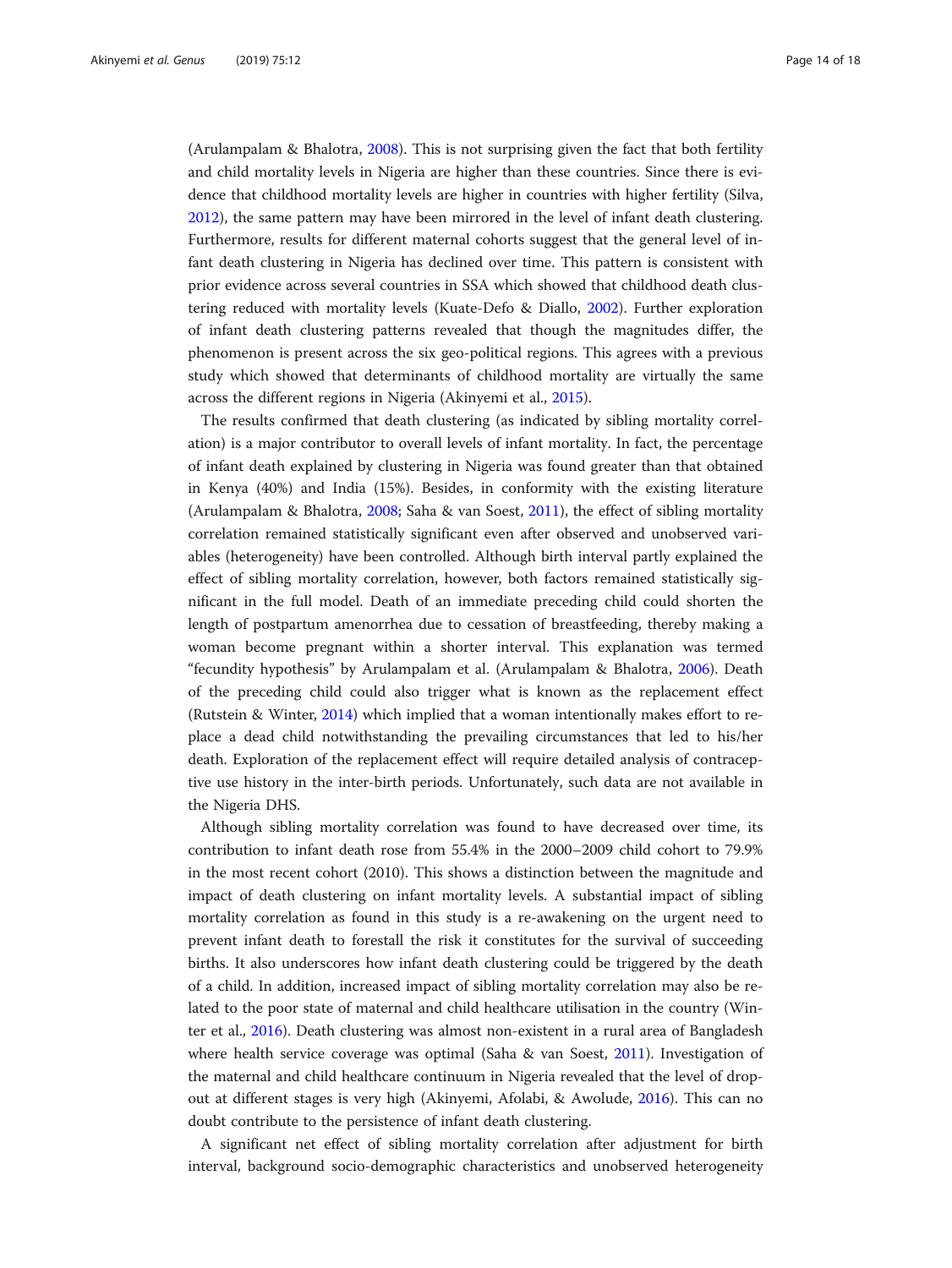(Arulampalam & Bhalotra, [2008](#page-16-0)). This is not surprising given the fact that both fertility and child mortality levels in Nigeria are higher than these countries. Since there is evidence that childhood mortality levels are higher in countries with higher fertility (Silva, [2012](#page-16-0)), the same pattern may have been mirrored in the level of infant death clustering. Furthermore, results for different maternal cohorts suggest that the general level of infant death clustering in Nigeria has declined over time. This pattern is consistent with prior evidence across several countries in SSA which showed that childhood death clustering reduced with mortality levels (Kuate-Defo & Diallo, [2002](#page-16-0)). Further exploration of infant death clustering patterns revealed that though the magnitudes differ, the phenomenon is present across the six geo-political regions. This agrees with a previous study which showed that determinants of childhood mortality are virtually the same across the different regions in Nigeria (Akinyemi et al., [2015](#page-15-0)).

The results confirmed that death clustering (as indicated by sibling mortality correlation) is a major contributor to overall levels of infant mortality. In fact, the percentage of infant death explained by clustering in Nigeria was found greater than that obtained in Kenya (40%) and India (15%). Besides, in conformity with the existing literature (Arulampalam & Bhalotra, [2008](#page-16-0); Saha & van Soest, [2011](#page-16-0)), the effect of sibling mortality correlation remained statistically significant even after observed and unobserved variables (heterogeneity) have been controlled. Although birth interval partly explained the effect of sibling mortality correlation, however, both factors remained statistically significant in the full model. Death of an immediate preceding child could shorten the length of postpartum amenorrhea due to cessation of breastfeeding, thereby making a woman become pregnant within a shorter interval. This explanation was termed "fecundity hypothesis" by Arulampalam et al. (Arulampalam & Bhalotra, [2006](#page-16-0)). Death of the preceding child could also trigger what is known as the replacement effect (Rutstein & Winter, [2014\)](#page-16-0) which implied that a woman intentionally makes effort to replace a dead child notwithstanding the prevailing circumstances that led to his/her death. Exploration of the replacement effect will require detailed analysis of contraceptive use history in the inter-birth periods. Unfortunately, such data are not available in the Nigeria DHS.

Although sibling mortality correlation was found to have decreased over time, its contribution to infant death rose from 55.4% in the 2000–2009 child cohort to 79.9% in the most recent cohort (2010). This shows a distinction between the magnitude and impact of death clustering on infant mortality levels. A substantial impact of sibling mortality correlation as found in this study is a re-awakening on the urgent need to prevent infant death to forestall the risk it constitutes for the survival of succeeding births. It also underscores how infant death clustering could be triggered by the death of a child. In addition, increased impact of sibling mortality correlation may also be related to the poor state of maternal and child healthcare utilisation in the country (Winter et al., [2016\)](#page-17-0). Death clustering was almost non-existent in a rural area of Bangladesh where health service coverage was optimal (Saha & van Soest, [2011](#page-16-0)). Investigation of the maternal and child healthcare continuum in Nigeria revealed that the level of dropout at different stages is very high (Akinyemi, Afolabi, & Awolude, [2016](#page-16-0)). This can no doubt contribute to the persistence of infant death clustering.

A significant net effect of sibling mortality correlation after adjustment for birth interval, background socio-demographic characteristics and unobserved heterogeneity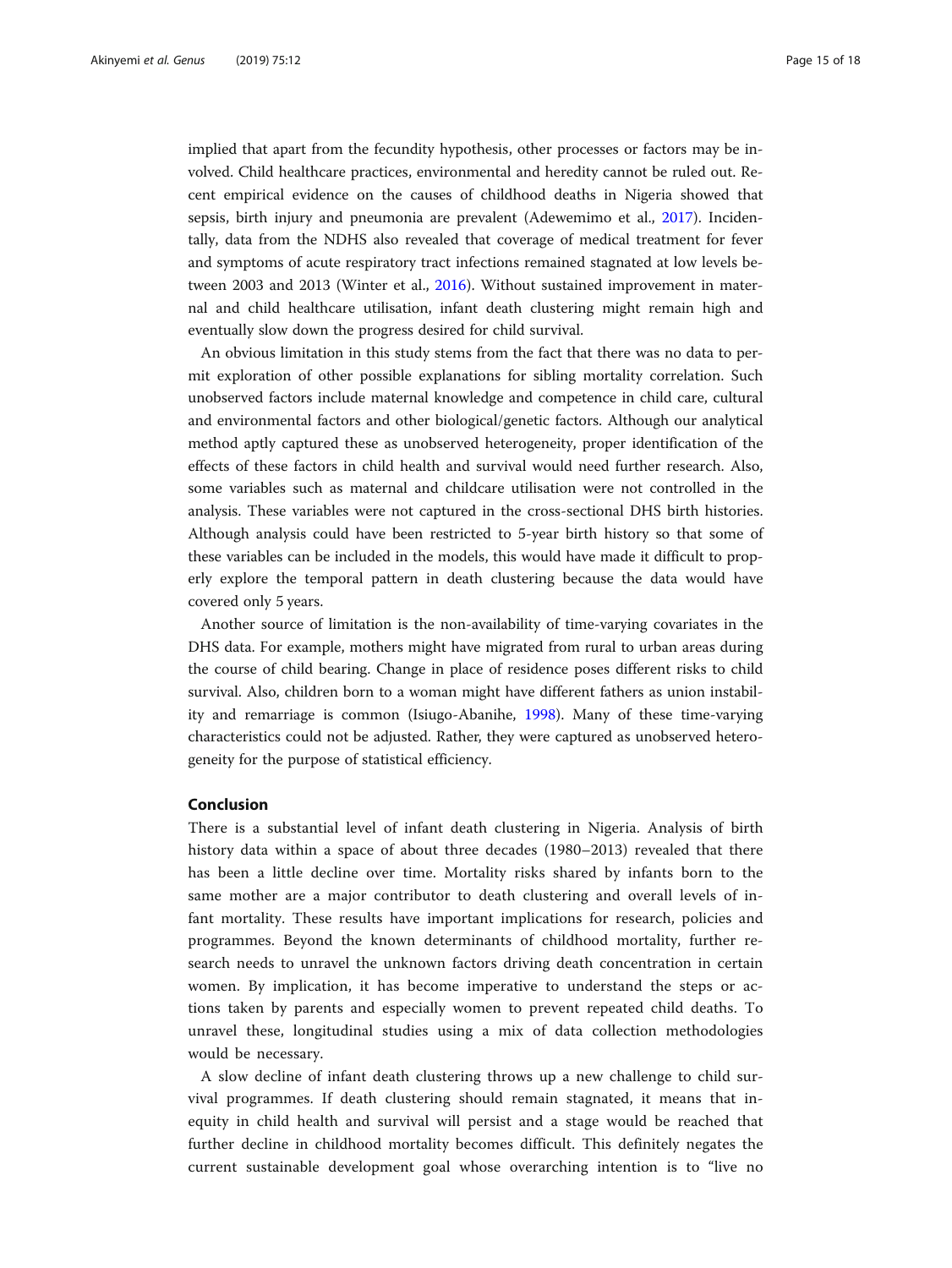implied that apart from the fecundity hypothesis, other processes or factors may be involved. Child healthcare practices, environmental and heredity cannot be ruled out. Recent empirical evidence on the causes of childhood deaths in Nigeria showed that sepsis, birth injury and pneumonia are prevalent (Adewemimo et al., [2017\)](#page-15-0). Incidentally, data from the NDHS also revealed that coverage of medical treatment for fever and symptoms of acute respiratory tract infections remained stagnated at low levels between 2003 and 2013 (Winter et al., [2016\)](#page-17-0). Without sustained improvement in maternal and child healthcare utilisation, infant death clustering might remain high and eventually slow down the progress desired for child survival.

An obvious limitation in this study stems from the fact that there was no data to permit exploration of other possible explanations for sibling mortality correlation. Such unobserved factors include maternal knowledge and competence in child care, cultural and environmental factors and other biological/genetic factors. Although our analytical method aptly captured these as unobserved heterogeneity, proper identification of the effects of these factors in child health and survival would need further research. Also, some variables such as maternal and childcare utilisation were not controlled in the analysis. These variables were not captured in the cross-sectional DHS birth histories. Although analysis could have been restricted to 5-year birth history so that some of these variables can be included in the models, this would have made it difficult to properly explore the temporal pattern in death clustering because the data would have covered only 5 years.

Another source of limitation is the non-availability of time-varying covariates in the DHS data. For example, mothers might have migrated from rural to urban areas during the course of child bearing. Change in place of residence poses different risks to child survival. Also, children born to a woman might have different fathers as union instability and remarriage is common (Isiugo-Abanihe, [1998\)](#page-16-0). Many of these time-varying characteristics could not be adjusted. Rather, they were captured as unobserved heterogeneity for the purpose of statistical efficiency.

# Conclusion

There is a substantial level of infant death clustering in Nigeria. Analysis of birth history data within a space of about three decades (1980–2013) revealed that there has been a little decline over time. Mortality risks shared by infants born to the same mother are a major contributor to death clustering and overall levels of infant mortality. These results have important implications for research, policies and programmes. Beyond the known determinants of childhood mortality, further research needs to unravel the unknown factors driving death concentration in certain women. By implication, it has become imperative to understand the steps or actions taken by parents and especially women to prevent repeated child deaths. To unravel these, longitudinal studies using a mix of data collection methodologies would be necessary.

A slow decline of infant death clustering throws up a new challenge to child survival programmes. If death clustering should remain stagnated, it means that inequity in child health and survival will persist and a stage would be reached that further decline in childhood mortality becomes difficult. This definitely negates the current sustainable development goal whose overarching intention is to "live no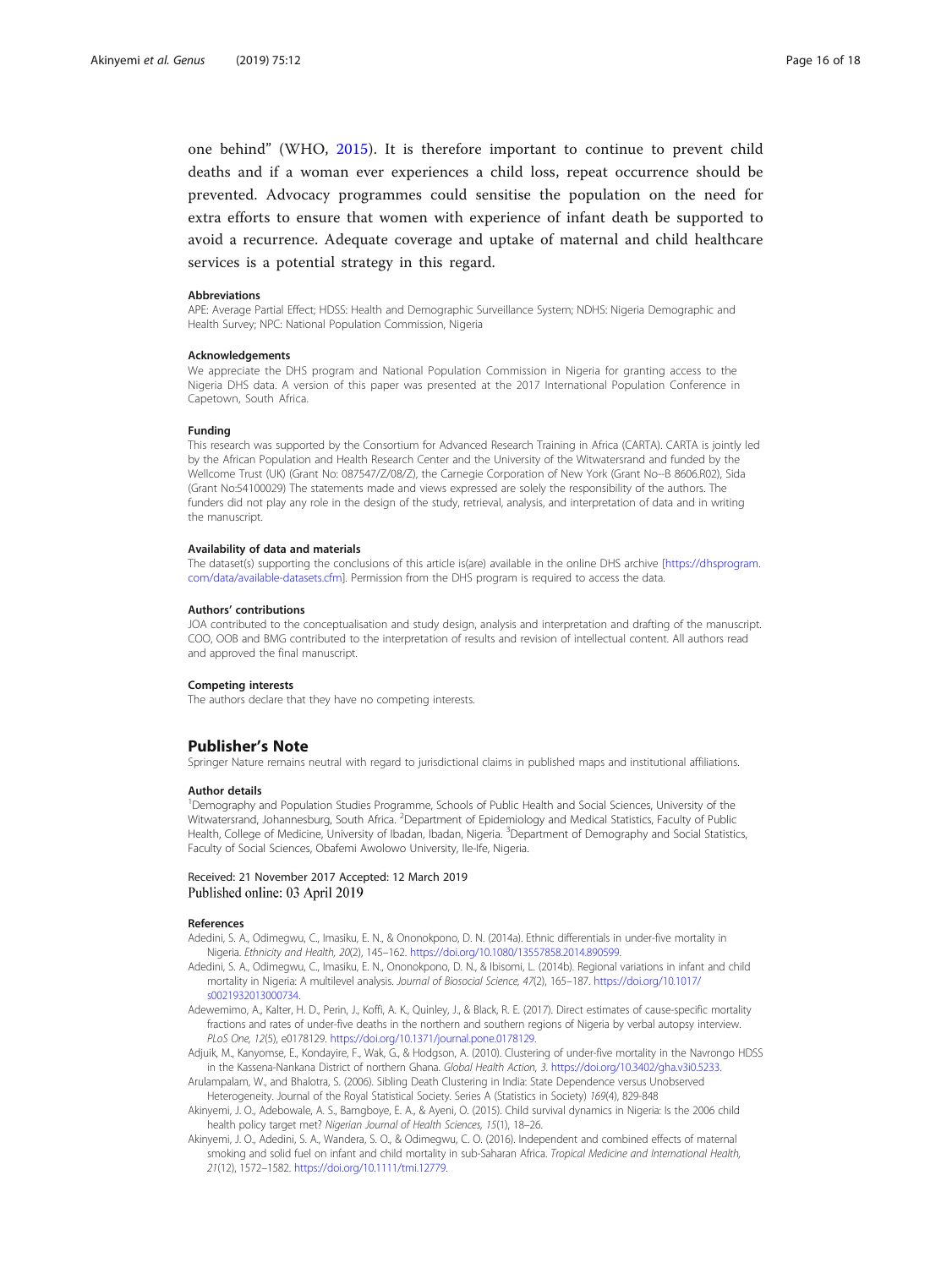<span id="page-15-0"></span>one behind" (WHO, [2015\)](#page-17-0). It is therefore important to continue to prevent child deaths and if a woman ever experiences a child loss, repeat occurrence should be prevented. Advocacy programmes could sensitise the population on the need for extra efforts to ensure that women with experience of infant death be supported to avoid a recurrence. Adequate coverage and uptake of maternal and child healthcare services is a potential strategy in this regard.

#### Abbreviations

APE: Average Partial Effect; HDSS: Health and Demographic Surveillance System; NDHS: Nigeria Demographic and Health Survey; NPC: National Population Commission, Nigeria

# **Acknowledgements**

We appreciate the DHS program and National Population Commission in Nigeria for granting access to the Nigeria DHS data. A version of this paper was presented at the 2017 International Population Conference in Capetown, South Africa.

#### Funding

This research was supported by the Consortium for Advanced Research Training in Africa (CARTA). CARTA is jointly led by the African Population and Health Research Center and the University of the Witwatersrand and funded by the Wellcome Trust (UK) (Grant No: 087547/Z/08/Z), the Carnegie Corporation of New York (Grant No--B 8606.R02), Sida (Grant No:54100029) The statements made and views expressed are solely the responsibility of the authors. The funders did not play any role in the design of the study, retrieval, analysis, and interpretation of data and in writing the manuscript.

#### Availability of data and materials

The dataset(s) supporting the conclusions of this article is(are) available in the online DHS archive [\[https://dhsprogram.](https://dhsprogram.com/data/available-datasets.cfm) [com/data/available-datasets.cfm](https://dhsprogram.com/data/available-datasets.cfm)]. Permission from the DHS program is required to access the data.

#### Authors' contributions

JOA contributed to the conceptualisation and study design, analysis and interpretation and drafting of the manuscript. COO, OOB and BMG contributed to the interpretation of results and revision of intellectual content. All authors read and approved the final manuscript.

#### Competing interests

The authors declare that they have no competing interests.

### Publisher's Note

Springer Nature remains neutral with regard to jurisdictional claims in published maps and institutional affiliations.

## Author details

<sup>1</sup>Demography and Population Studies Programme, Schools of Public Health and Social Sciences, University of the Witwatersrand, Johannesburg, South Africa. <sup>2</sup>Department of Epidemiology and Medical Statistics, Faculty of Public Health, College of Medicine, University of Ibadan, Ibadan, Nigeria. <sup>3</sup>Department of Demography and Social Statistics, Faculty of Social Sciences, Obafemi Awolowo University, Ile-Ife, Nigeria.

# Received: 21 November 2017 Accepted: 12 March 2019 Published online: 03 April 2019

#### References

- Adedini, S. A., Odimegwu, C., Imasiku, E. N., & Ononokpono, D. N. (2014a). Ethnic differentials in under-five mortality in Nigeria. Ethnicity and Health, 20(2), 145–162. [https://doi.org/10.1080/13557858.2014.890599.](https://doi.org/10.1080/13557858.2014.890599)
- Adedini, S. A., Odimegwu, C., Imasiku, E. N., Ononokpono, D. N., & Ibisomi, L. (2014b). Regional variations in infant and child mortality in Nigeria: A multilevel analysis. Journal of Biosocial Science, 47(2), 165–187. [https://doi.org/10.1017/](https://doi.org/10.1017/s0021932013000734) [s0021932013000734.](https://doi.org/10.1017/s0021932013000734)
- Adewemimo, A., Kalter, H. D., Perin, J., Koffi, A. K., Quinley, J., & Black, R. E. (2017). Direct estimates of cause-specific mortality fractions and rates of under-five deaths in the northern and southern regions of Nigeria by verbal autopsy interview. PLoS One, 12(5), e0178129. [https://doi.org/10.1371/journal.pone.0178129.](https://doi.org/10.1371/journal.pone.0178129)
- Adjuik, M., Kanyomse, E., Kondayire, F., Wak, G., & Hodgson, A. (2010). Clustering of under-five mortality in the Navrongo HDSS in the Kassena-Nankana District of northern Ghana. Global Health Action, 3. [https://doi.org/10.3402/gha.v3i0.5233.](https://doi.org/10.3402/gha.v3i0.5233)
- Arulampalam, W., and Bhalotra, S. (2006). Sibling Death Clustering in India: State Dependence versus Unobserved Heterogeneity. Journal of the Royal Statistical Society. Series A (Statistics in Society) 169(4), 829-848
- Akinyemi, J. O., Adebowale, A. S., Bamgboye, E. A., & Ayeni, O. (2015). Child survival dynamics in Nigeria: Is the 2006 child health policy target met? Nigerian Journal of Health Sciences, 15(1), 18–26.
- Akinyemi, J. O., Adedini, S. A., Wandera, S. O., & Odimegwu, C. O. (2016). Independent and combined effects of maternal smoking and solid fuel on infant and child mortality in sub-Saharan Africa. Tropical Medicine and International Health, 21(12), 1572–1582. <https://doi.org/10.1111/tmi.12779>.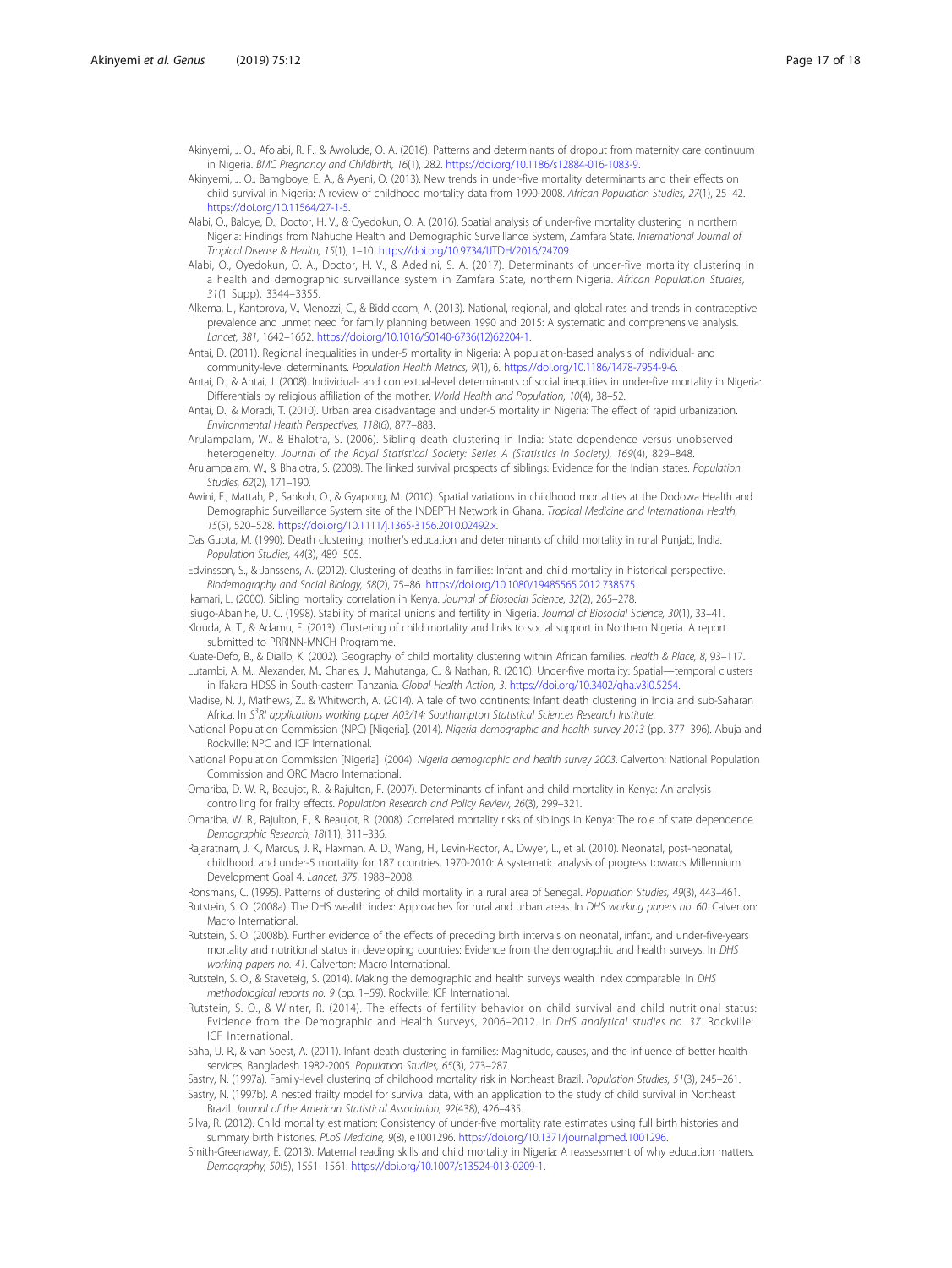<span id="page-16-0"></span>Akinyemi, J. O., Afolabi, R. F., & Awolude, O. A. (2016). Patterns and determinants of dropout from maternity care continuum in Nigeria. BMC Pregnancy and Childbirth, 16(1), 282. [https://doi.org/10.1186/s12884-016-1083-9.](https://doi.org/10.1186/s12884-016-1083-9)

- Akinyemi, J. O., Bamgboye, E. A., & Ayeni, O. (2013). New trends in under-five mortality determinants and their effects on child survival in Nigeria: A review of childhood mortality data from 1990-2008. African Population Studies, 27(1), 25–42. <https://doi.org/10.11564/27-1-5>.
- Alabi, O., Baloye, D., Doctor, H. V., & Oyedokun, O. A. (2016). Spatial analysis of under-five mortality clustering in northern Nigeria: Findings from Nahuche Health and Demographic Surveillance System, Zamfara State. International Journal of Tropical Disease & Health, 15(1), 1–10. <https://doi.org/10.9734/IJTDH/2016/24709>.
- Alabi, O., Oyedokun, O. A., Doctor, H. V., & Adedini, S. A. (2017). Determinants of under-five mortality clustering in a health and demographic surveillance system in Zamfara State, northern Nigeria. African Population Studies, 31(1 Supp), 3344–3355.
- Alkema, L., Kantorova, V., Menozzi, C., & Biddlecom, A. (2013). National, regional, and global rates and trends in contraceptive prevalence and unmet need for family planning between 1990 and 2015: A systematic and comprehensive analysis. Lancet, 381, 1642–1652. [https://doi.org/10.1016/S0140-6736\(12\)62204-1](https://doi.org/10.1016/S0140-6736(12)62204-1).

Antai, D. (2011). Regional inequalities in under-5 mortality in Nigeria: A population-based analysis of individual- and community-level determinants. Population Health Metrics, 9(1), 6. [https://doi.org/10.1186/1478-7954-9-6.](https://doi.org/10.1186/1478-7954-9-6)

- Antai, D., & Antai, J. (2008). Individual- and contextual-level determinants of social inequities in under-five mortality in Nigeria: Differentials by religious affiliation of the mother. World Health and Population, 10(4), 38–52.
- Antai, D., & Moradi, T. (2010). Urban area disadvantage and under-5 mortality in Nigeria: The effect of rapid urbanization. Environmental Health Perspectives, 118(6), 877–883.
- Arulampalam, W., & Bhalotra, S. (2006). Sibling death clustering in India: State dependence versus unobserved heterogeneity. Journal of the Royal Statistical Society: Series A (Statistics in Society), 169(4), 829–848.
- Arulampalam, W., & Bhalotra, S. (2008). The linked survival prospects of siblings: Evidence for the Indian states. Population Studies, 62(2), 171–190.
- Awini, E., Mattah, P., Sankoh, O., & Gyapong, M. (2010). Spatial variations in childhood mortalities at the Dodowa Health and Demographic Surveillance System site of the INDEPTH Network in Ghana. Tropical Medicine and International Health, 15(5), 520–528. [https://doi.org/10.1111/j.1365-3156.2010.02492.x.](https://doi.org/10.1111/j.1365-3156.2010.02492.x)
- Das Gupta, M. (1990). Death clustering, mother's education and determinants of child mortality in rural Punjab, India. Population Studies, 44(3), 489–505.
- Edvinsson, S., & Janssens, A. (2012). Clustering of deaths in families: Infant and child mortality in historical perspective. Biodemography and Social Biology, 58(2), 75–86. [https://doi.org/10.1080/19485565.2012.738575.](https://doi.org/10.1080/19485565.2012.738575)
- Ikamari, L. (2000). Sibling mortality correlation in Kenya. Journal of Biosocial Science, 32(2), 265–278.
- Isiugo-Abanihe, U. C. (1998). Stability of marital unions and fertility in Nigeria. Journal of Biosocial Science, 30(1), 33–41.

Klouda, A. T., & Adamu, F. (2013). Clustering of child mortality and links to social support in Northern Nigeria. A report submitted to PRRINN-MNCH Programme.

Kuate-Defo, B., & Diallo, K. (2002). Geography of child mortality clustering within African families. Health & Place, 8, 93–117. Lutambi, A. M., Alexander, M., Charles, J., Mahutanga, C., & Nathan, R. (2010). Under-five mortality: Spatial—temporal clusters in Ifakara HDSS in South-eastern Tanzania. Global Health Action, 3. [https://doi.org/10.3402/gha.v3i0.5254.](https://doi.org/10.3402/gha.v3i0.5254)

- Madise, N. J., Mathews, Z., & Whitworth, A. (2014). A tale of two continents: Infant death clustering in India and sub-Saharan Africa. In S<sup>3</sup>RI applications working paper A03/14: Southampton Statistical Sciences Research Institute.
- National Population Commission (NPC) [Nigeria]. (2014). Nigeria demographic and health survey 2013 (pp. 377–396). Abuja and Rockville: NPC and ICF International.
- National Population Commission [Nigeria]. (2004). Nigeria demographic and health survey 2003. Calverton: National Population Commission and ORC Macro International.
- Omariba, D. W. R., Beaujot, R., & Rajulton, F. (2007). Determinants of infant and child mortality in Kenya: An analysis controlling for frailty effects. Population Research and Policy Review, 26(3), 299–321.

Omariba, W. R., Rajulton, F., & Beaujot, R. (2008). Correlated mortality risks of siblings in Kenya: The role of state dependence. Demographic Research, 18(11), 311–336.

Rajaratnam, J. K., Marcus, J. R., Flaxman, A. D., Wang, H., Levin-Rector, A., Dwyer, L., et al. (2010). Neonatal, post-neonatal, childhood, and under-5 mortality for 187 countries, 1970-2010: A systematic analysis of progress towards Millennium Development Goal 4. Lancet, 375, 1988–2008.

- Ronsmans, C. (1995). Patterns of clustering of child mortality in a rural area of Senegal. Population Studies, 49(3), 443–461.
- Rutstein, S. O. (2008a). The DHS wealth index: Approaches for rural and urban areas. In DHS working papers no. 60. Calverton: Macro International.
- Rutstein, S. O. (2008b). Further evidence of the effects of preceding birth intervals on neonatal, infant, and under-five-years mortality and nutritional status in developing countries: Evidence from the demographic and health surveys. In DHS working papers no. 41. Calverton: Macro International.
- Rutstein, S. O., & Staveteig, S. (2014). Making the demographic and health surveys wealth index comparable. In DHS methodological reports no. 9 (pp. 1–59). Rockville: ICF International.
- Rutstein, S. O., & Winter, R. (2014). The effects of fertility behavior on child survival and child nutritional status: Evidence from the Demographic and Health Surveys, 2006–2012. In DHS analytical studies no. 37. Rockville: ICF International.
- Saha, U. R., & van Soest, A. (2011). Infant death clustering in families: Magnitude, causes, and the influence of better health services, Bangladesh 1982-2005. Population Studies, 65(3), 273–287.
- Sastry, N. (1997a). Family-level clustering of childhood mortality risk in Northeast Brazil. Population Studies, 51(3), 245–261. Sastry, N. (1997b). A nested frailty model for survival data, with an application to the study of child survival in Northeast Brazil. Journal of the American Statistical Association, 92(438), 426–435.
- Silva, R. (2012). Child mortality estimation: Consistency of under-five mortality rate estimates using full birth histories and summary birth histories. PLoS Medicine, 9(8), e1001296. <https://doi.org/10.1371/journal.pmed.1001296>.
- Smith-Greenaway, E. (2013). Maternal reading skills and child mortality in Nigeria: A reassessment of why education matters. Demography, 50(5), 1551–1561. <https://doi.org/10.1007/s13524-013-0209-1>.